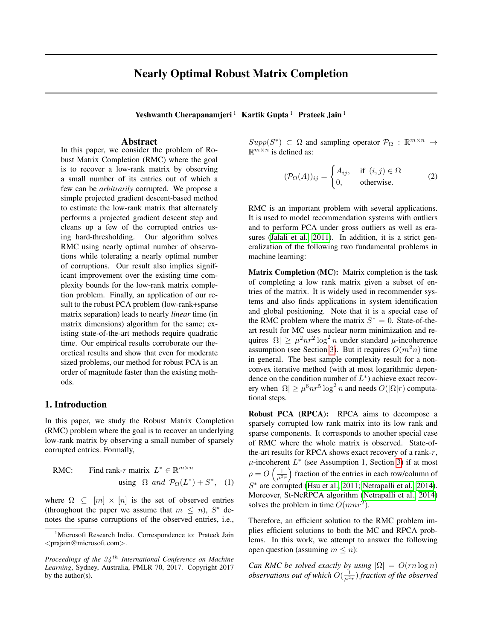# Nearly Optimal Robust Matrix Completion

Yeshwanth Cherapanamjeri<sup>1</sup> Kartik Gupta<sup>1</sup> Prateek Jain<sup>1</sup>

### Abstract

In this paper, we consider the problem of Robust Matrix Completion (RMC) where the goal is to recover a low-rank matrix by observing a small number of its entries out of which a few can be *arbitrarily* corrupted. We propose a simple projected gradient descent-based method to estimate the low-rank matrix that alternately performs a projected gradient descent step and cleans up a few of the corrupted entries using hard-thresholding. Our algorithm solves RMC using nearly optimal number of observations while tolerating a nearly optimal number of corruptions. Our result also implies significant improvement over the existing time complexity bounds for the low-rank matrix completion problem. Finally, an application of our result to the robust PCA problem (low-rank+sparse matrix separation) leads to nearly *linear* time (in matrix dimensions) algorithm for the same; existing state-of-the-art methods require quadratic time. Our empirical results corroborate our theoretical results and show that even for moderate sized problems, our method for robust PCA is an order of magnitude faster than the existing methods.

## 1. Introduction

In this paper, we study the Robust Matrix Completion (RMC) problem where the goal is to recover an underlying low-rank matrix by observing a small number of sparsely corrupted entries. Formally,

**RMC:** Find rank-*r* matrix 
$$
L^* \in \mathbb{R}^{m \times n}
$$
  
using  $\Omega$  and  $\mathcal{P}_{\Omega}(L^*) + S^*$ , (1)

where  $\Omega \subseteq [m] \times [n]$  is the set of observed entries (throughout the paper we assume that  $m \leq n$ ),  $S^*$  denotes the sparse corruptions of the observed entries, i.e.,  $Supp(S^*) \subset \Omega$  and sampling operator  $\mathcal{P}_{\Omega} : \mathbb{R}^{m \times n} \to$  $\mathbb{R}^{m \times n}$  is defined as:

<span id="page-0-0"></span>
$$
(\mathcal{P}_{\Omega}(A))_{ij} = \begin{cases} A_{ij}, & \text{if } (i,j) \in \Omega \\ 0, & \text{otherwise.} \end{cases}
$$
 (2)

RMC is an important problem with several applications. It is used to model recommendation systems with outliers and to perform PCA under gross outliers as well as era-sures [\(Jalali et al., 2011\)](#page-8-0). In addition, it is a strict generalization of the following two fundamental problems in machine learning:

Matrix Completion (MC): Matrix completion is the task of completing a low rank matrix given a subset of entries of the matrix. It is widely used in recommender systems and also finds applications in system identification and global positioning. Note that it is a special case of the RMC problem where the matrix  $S^* = 0$ . State-of-theart result for MC uses nuclear norm minimization and requires  $|\Omega| \geq \mu^2 n r^2 \log^2 n$  under standard  $\mu$ -incoherence assumption (see Section [3\)](#page-3-0). But it requires  $O(m^2n)$  time in general. The best sample complexity result for a nonconvex iterative method (with at most logarithmic dependence on the condition number of  $L^*$ ) achieve exact recovery when  $|\Omega| \ge \mu^6 n r^5 \log^2 n$  and needs  $O(|\Omega| r)$  computational steps.

Robust PCA (RPCA): RPCA aims to decompose a sparsely corrupted low rank matrix into its low rank and sparse components. It corresponds to another special case of RMC where the whole matrix is observed. State-ofthe-art results for RPCA shows exact recovery of a rank-r,  $\mu$ -incoherent  $L^*$  (see Assumption 1, Section [3\)](#page-3-0) if at most  $\rho = O\left(\frac{1}{\mu^2 r}\right)$  fraction of the entries in each row/column of S ∗ are corrupted [\(Hsu et al., 2011;](#page-8-1) [Netrapalli et al., 2014\)](#page-8-2). Moreover, St-NcRPCA algorithm [\(Netrapalli et al., 2014\)](#page-8-2) solves the problem in time  $O(mnr^2)$ .

Therefore, an efficient solution to the RMC problem implies efficient solutions to both the MC and RPCA problems. In this work, we attempt to answer the following open question (assuming  $m \leq n$ ):

*Can RMC be solved exactly by using*  $|\Omega| = O(rn \log n)$  $observations$  out of which  $O(\frac{1}{\mu^2 r})$  fraction of the observed

<sup>&</sup>lt;sup>1</sup>Microsoft Research India. Correspondence to: Prateek Jain <prajain@microsoft.com>.

*Proceedings of the* 34 th *International Conference on Machine Learning*, Sydney, Australia, PMLR 70, 2017. Copyright 2017 by the author(s).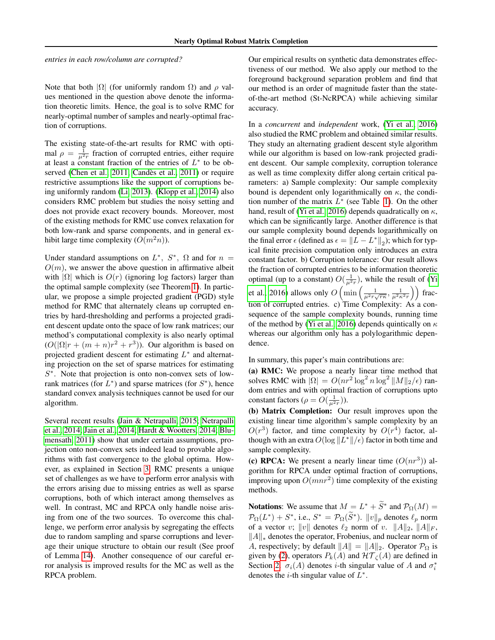*entries in each row/column are corrupted?*

Note that both  $|\Omega|$  (for uniformly random  $\Omega$ ) and  $\rho$  values mentioned in the question above denote the information theoretic limits. Hence, the goal is to solve RMC for nearly-optimal number of samples and nearly-optimal fraction of corruptions.

The existing state-of-the-art results for RMC with optimal  $\rho = \frac{1}{\mu^2 r}$  fraction of corrupted entries, either require at least a constant fraction of the entries of  $L^*$  to be ob-served [\(Chen et al., 2011;](#page-8-3) Candès et al., 2011) or require restrictive assumptions like the support of corruptions being uniformly random [\(Li, 2013\)](#page-8-4). [\(Klopp et al., 2014\)](#page-8-5) also considers RMC problem but studies the noisy setting and does not provide exact recovery bounds. Moreover, most of the existing methods for RMC use convex relaxation for both low-rank and sparse components, and in general exhibit large time complexity  $(O(m^2n))$ .

Under standard assumptions on  $L^*$ ,  $S^*$ ,  $\Omega$  and for  $n =$  $O(m)$ , we answer the above question in affirmative albeit with  $|\Omega|$  which is  $O(r)$  (ignoring log factors) larger than the optimal sample complexity (see Theorem [1\)](#page-3-1). In particular, we propose a simple projected gradient (PGD) style method for RMC that alternately cleans up corrupted entries by hard-thresholding and performs a projected gradient descent update onto the space of low rank matrices; our method's computational complexity is also nearly optimal  $(O(|\Omega|r + (m+n)r^2 + r^3))$ . Our algorithm is based on projected gradient descent for estimating  $L^*$  and alternating projection on the set of sparse matrices for estimating S<sup>\*</sup>. Note that projection is onto non-convex sets of lowrank matrices (for  $L^*$ ) and sparse matrices (for  $S^*$ ), hence standard convex analysis techniques cannot be used for our algorithm.

Several recent results [\(Jain & Netrapalli, 2015;](#page-8-6) [Netrapalli](#page-8-2) [et al., 2014;](#page-8-2) [Jain et al., 2014;](#page-8-7) [Hardt & Wootters, 2014;](#page-8-8) [Blu](#page-7-1)[mensath, 2011\)](#page-7-1) show that under certain assumptions, projection onto non-convex sets indeed lead to provable algorithms with fast convergence to the global optima. However, as explained in Section [3,](#page-3-0) RMC presents a unique set of challenges as we have to perform error analysis with the errors arising due to missing entries as well as sparse corruptions, both of which interact among themselves as well. In contrast, MC and RPCA only handle noise arising from one of the two sources. To overcome this challenge, we perform error analysis by segregating the effects due to random sampling and sparse corruptions and leverage their unique structure to obtain our result (See proof of Lemma [14\)](#page-22-0). Another consequence of our careful error analysis is improved results for the MC as well as the RPCA problem.

Our empirical results on synthetic data demonstrates effectiveness of our method. We also apply our method to the foreground background separation problem and find that our method is an order of magnitude faster than the stateof-the-art method (St-NcRPCA) while achieving similar accuracy.

In a *concurrent* and *independent* work, [\(Yi et al., 2016\)](#page-8-9) also studied the RMC problem and obtained similar results. They study an alternating gradient descent style algorithm while our algorithm is based on low-rank projected gradient descent. Our sample complexity, corruption tolerance as well as time complexity differ along certain critical parameters: a) Sample complexity: Our sample complexity bound is dependent only logarithmically on  $\kappa$ , the condition number of the matrix  $L^*$  (see Table [1\)](#page-5-0). On the other hand, result of [\(Yi et al., 2016\)](#page-8-9) depends quadratically on  $\kappa$ , which can be significantly large. Another difference is that our sample complexity bound depends logarithmically on the final error  $\epsilon$  (defined as  $\epsilon = ||L - L^*||_2$ ); which for typical finite precision computation only introduces an extra constant factor. b) Corruption tolerance: Our result allows the fraction of corrupted entries to be information theoretic optimal (up to a constant)  $O(\frac{1}{\mu^2 r})$ , while the result of [\(Yi](#page-8-9) [et al., 2016\)](#page-8-9) allows only  $O\left(\min\left(\frac{1}{\mu^2 r \sqrt{r\kappa}}, \frac{1}{\mu^2 \kappa^2 r}\right)\right)$  fraction of corrupted entries. c) Time Complexity: As a consequence of the sample complexity bounds, running time of the method by [\(Yi et al., 2016\)](#page-8-9) depends quintically on  $\kappa$ whereas our algorithm only has a polylogarithmic dependence.

In summary, this paper's main contributions are:

(a) RMC: We propose a nearly linear time method that solves RMC with  $|\Omega| = O(nr^2 \log^2 n \log^2 ||M||_2/\epsilon)$  random entries and with optimal fraction of corruptions upto constant factors ( $\rho = O(\frac{1}{\mu^2 r})$ ).

(b) Matrix Completion: Our result improves upon the existing linear time algorithm's sample complexity by an  $O(r^3)$  factor, and time complexity by  $O(r^4)$  factor, although with an extra  $O(\log ||L^*||/\epsilon)$  factor in both time and sample complexity.

(c) RPCA: We present a nearly linear time  $(O(nr^3))$  algorithm for RPCA under optimal fraction of corruptions, improving upon  $O(mnr^2)$  time complexity of the existing methods.

**Notations:** We assume that  $M = L^* + \tilde{S}^*$  and  $\mathcal{P}_{\Omega}(M) =$  $\mathcal{P}_{\Omega}(L^*) + S^*$ , i.e.,  $S^* = \mathcal{P}_{\Omega}(\tilde{S}^*)$ .  $||v||_p$  denotes  $\ell_p$  norm of a vector v; ||v|| denotes  $\ell_2$  norm of v. ||A||<sub>2</sub>, ||A||<sub>F</sub>,  $||A||_*$  denotes the operator, Frobenius, and nuclear norm of A, respectively; by default  $||A|| = ||A||_2$ . Operator  $\mathcal{P}_{\Omega}$  is given by [\(2\)](#page-0-0), operators  $P_k(A)$  and  $\mathcal{HT}_{\zeta}(A)$  are defined in Section [2.](#page-2-0)  $\sigma_i(A)$  denotes *i*-th singular value of A and  $\sigma_i^*$ denotes the *i*-th singular value of  $L^*$ .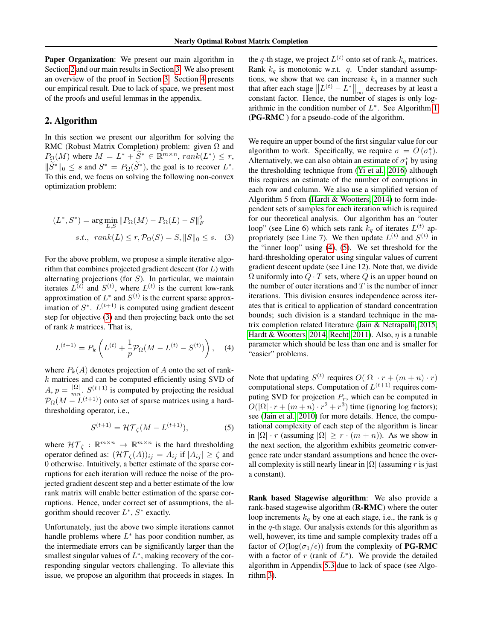Paper Organization: We present our main algorithm in Section [2](#page-2-0) and our main results in Section [3.](#page-3-0) We also present an overview of the proof in Section [3.](#page-3-0) Section [4](#page-5-1) presents our empirical result. Due to lack of space, we present most of the proofs and useful lemmas in the appendix.

## <span id="page-2-0"></span>2. Algorithm

In this section we present our algorithm for solving the RMC (Robust Matrix Completion) problem: given  $\Omega$  and  $P_{\Omega}(M)$  where  $M = L^* + \widetilde{S}^* \in \mathbb{R}^{m \times n}$ ,  $rank(L^*) \leq r$ ,  $\|\widetilde{S}^*\|_0 \leq s$  and  $S^* = P_{\Omega}(\widetilde{S}^*)$ , the goal is to recover  $L^*$ . To this end, we focus on solving the following non-convex optimization problem:

$$
(L^*, S^*) = \arg\min_{L,S} \|P_{\Omega}(M) - P_{\Omega}(L) - S\|_F^2
$$
  
s.t.,  $rank(L) \le r, P_{\Omega}(S) = S, ||S||_0 \le s.$  (3)

For the above problem, we propose a simple iterative algorithm that combines projected gradient descent (for  $L$ ) with alternating projections (for  $S$ ). In particular, we maintain iterates  $L^{(t)}$  and  $S^{(t)}$ , where  $L^{(t)}$  is the current low-rank approximation of  $L^*$  and  $S^{(t)}$  is the current sparse approximation of  $S^*$ .  $L^{(t+1)}$  is computed using gradient descent step for objective [\(3\)](#page-2-1) and then projecting back onto the set of rank k matrices. That is,

<span id="page-2-2"></span>
$$
L^{(t+1)} = P_k \left( L^{(t)} + \frac{1}{p} \mathcal{P}_{\Omega} (M - L^{(t)} - S^{(t)}) \right), \quad (4)
$$

where  $P_k(A)$  denotes projection of A onto the set of rank $k$  matrices and can be computed efficiently using SVD of  $A, p = \frac{|\Omega|}{m n}$  $\frac{|\Omega|}{mn}$ .  $S^{(t+1)}$  is computed by projecting the residual  $\mathcal{P}_{\Omega}(M - L^{(t+1)})$  onto set of sparse matrices using a hardthresholding operator, i.e.,

<span id="page-2-3"></span>
$$
S^{(t+1)} = \mathcal{HT}_{\zeta}(M - L^{(t+1)}),\tag{5}
$$

where  $\mathcal{HT}_{\zeta}: \mathbb{R}^{m \times n} \to \mathbb{R}^{m \times n}$  is the hard thresholding operator defined as:  $(\mathcal{HT}_{\zeta}(A))_{ij} = A_{ij}$  if  $|A_{ij}| \ge \zeta$  and 0 otherwise. Intuitively, a better estimate of the sparse corruptions for each iteration will reduce the noise of the projected gradient descent step and a better estimate of the low rank matrix will enable better estimation of the sparse corruptions. Hence, under correct set of assumptions, the algorithm should recover  $L^*$ ,  $S^*$  exactly.

Unfortunately, just the above two simple iterations cannot handle problems where  $L^*$  has poor condition number, as the intermediate errors can be significantly larger than the smallest singular values of  $L^*$ , making recovery of the corresponding singular vectors challenging. To alleviate this issue, we propose an algorithm that proceeds in stages. In

the q-th stage, we project  $L^{(t)}$  onto set of rank- $k_q$  matrices. Rank  $k_q$  is monotonic w.r.t. q. Under standard assumptions, we show that we can increase  $k_q$  in a manner such that after each stage  $||L^{(t)} - L^*||_{\infty}$  decreases by at least a constant factor. Hence, the number of stages is only logarithmic in the condition number of  $L^*$ . See Algorithm [1](#page-3-2) (PG-RMC ) for a pseudo-code of the algorithm.

<span id="page-2-1"></span>We require an upper bound of the first singular value for our algorithm to work. Specifically, we require  $\sigma = O(\sigma_1^*)$ . Alternatively, we can also obtain an estimate of  $\sigma_1^*$  by using the thresholding technique from [\(Yi et al., 2016\)](#page-8-9) although this requires an estimate of the number of corruptions in each row and column. We also use a simplified version of Algorithm 5 from [\(Hardt & Wootters, 2014\)](#page-8-8) to form independent sets of samples for each iteration which is required for our theoretical analysis. Our algorithm has an "outer loop" (see Line 6) which sets rank  $k_q$  of iterates  $L^{(t)}$  appropriately (see Line 7). We then update  $L^{(t)}$  and  $S^{(t)}$  in the "inner loop" using [\(4\)](#page-2-2), [\(5\)](#page-2-3). We set threshold for the hard-thresholding operator using singular values of current gradient descent update (see Line 12). Note that, we divide  $\Omega$  uniformly into  $Q \cdot T$  sets, where Q is an upper bound on the number of outer iterations and  $T$  is the number of inner iterations. This division ensures independence across iterates that is critical to application of standard concentration bounds; such division is a standard technique in the matrix completion related literature [\(Jain & Netrapalli, 2015;](#page-8-6) [Hardt & Wootters, 2014;](#page-8-8) [Recht, 2011\)](#page-8-10). Also,  $\eta$  is a tunable parameter which should be less than one and is smaller for "easier" problems.

Note that updating  $S^{(t)}$  requires  $O(|\Omega| \cdot r + (m+n) \cdot r)$ computational steps. Computation of  $L^{(t+1)}$  requires computing SVD for projection  $P_r$ , which can be computed in  $O(|\Omega| \cdot r + (m+n) \cdot r^2 + r^3)$  time (ignoring log factors); see [\(Jain et al., 2010\)](#page-8-11) for more details. Hence, the computational complexity of each step of the algorithm is linear in  $|\Omega| \cdot r$  (assuming  $|\Omega| \geq r \cdot (m + n)$ ). As we show in the next section, the algorithm exhibits geometric convergence rate under standard assumptions and hence the overall complexity is still nearly linear in  $|\Omega|$  (assuming r is just a constant).

Rank based Stagewise algorithm: We also provide a rank-based stagewise algorithm (R-RMC) where the outer loop increments  $k_q$  by one at each stage, i.e., the rank is q in the  $q$ -th stage. Our analysis extends for this algorithm as well, however, its time and sample complexity trades off a factor of  $O(\log(\sigma_1/\epsilon))$  from the complexity of **PG-RMC** with a factor of  $r$  (rank of  $L^*$ ). We provide the detailed algorithm in Appendix [5.3](#page-19-0) due to lack of space (see Algorithm [3\)](#page-19-1).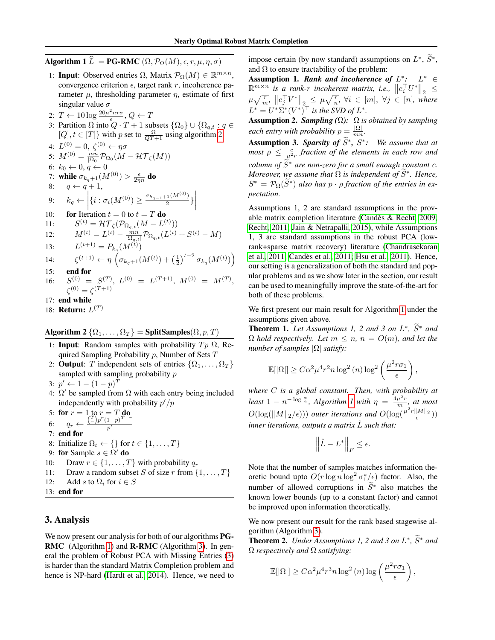# <span id="page-3-2"></span>Algorithm 1  $\widehat{L} =$  PG-RMC  $(\Omega, \mathcal{P}_{\Omega}(M), \epsilon, r, \mu, \eta, \sigma)$

- 1: **Input**: Observed entries  $\Omega$ , Matrix  $\mathcal{P}_{\Omega}(M) \in \mathbb{R}^{m \times n}$ , convergence criterion  $\epsilon$ , target rank r, incoherence parameter  $\mu$ , thresholding parameter  $\eta$ , estimate of first singular value  $\sigma$
- 2:  $T \leftarrow 10 \log \frac{20 \mu^2 n r \sigma}{\epsilon}, Q \leftarrow T$
- 3: Partition  $\Omega$  into  $\varrho \cdot T + 1$  subsets  $\{\Omega_0\} \cup \{\Omega_{q,t} : q \in$  $[Q], t \in [T]$ } with p set to  $\frac{\Omega}{QT+1}$  using algorithm [2](#page-3-3)

4:  $L^{(0)}=0, \ \zeta^{(0)} \leftarrow \eta \sigma$ 5:  $M^{(0)} = \frac{mn}{\vert \Omega_0 \vert} \mathcal{P}_{\Omega_0} (M - \mathcal{HT}_{\zeta}(M))$ 6:  $k_0 \leftarrow 0, q \leftarrow 0$ 7: while  $\sigma_{k_q+1}(M^{(0)})>\frac{\epsilon}{2\eta n}$  do 8:  $q \leftarrow q + 1$ , 9:  $k_q \leftarrow \left| \{ i : \sigma_i(M^{(0)}) \geq \frac{\sigma_{k_{q-1}+1}(M^{(0)})}{2} \} \right|$ 10: **for** Iteration  $t = 0$  to  $t = T$  **do**  $\overline{\phantom{a}}$ 11:  $S^{(t)} = \mathcal{HT}_{\zeta}(\mathcal{P}_{\Omega_{q,t}}(M - L^{(t)}))$ 12:  $M^{(t)} = L^{(t)} - \frac{mn}{|\Omega_{q,t}|} \mathcal{P}_{\Omega_{q,t}}(L^{(t)} + S^{(t)} - M)$ 13:  $L^{(t+1)} = P_{k_q}(M^{(t)})$ 14:  $(t+1) \leftarrow \eta \left( \sigma_{k_q+1}(M^{(t)}) + \left(\frac{1}{2}\right)^{t-2} \sigma_{k_q}(M^{(t)}) \right)$ 15: end for  $16:$  $\hspace{.2cm} C^{(0)} \hspace{.1cm} = \hspace{.1cm} S^{(T)}, \hspace{.1cm} L^{(0)} \hspace{.1cm} = \hspace{.1cm} L^{(T+1)}, \hspace{.1cm} M^{(0)} \hspace{.1cm} = \hspace{.1cm} M^{(T)},$  $\zeta^{(0)} = \zeta^{(T+1)}$ 17: end while 18: **Return:**  $L^{(T)}$ 

# <span id="page-3-3"></span>Algorithm 2  $\{\Omega_1,\ldots,\Omega_T\}$  = SplitSamples( $\Omega, p, T$ )

- 1: **Input**: Random samples with probability  $Tp \Omega$ , Required Sampling Probability  $p$ , Number of Sets  $T$
- 2: **Output**: T independent sets of entries  $\{\Omega_1, \ldots, \Omega_T\}$ sampled with sampling probability *p*
- 3:  $p' \leftarrow 1 (1 p)^T$
- 4:  $\Omega'$  be sampled from  $\Omega$  with each entry being included independently with probability  $p'/p$

5: for  $r = 1$  to  $r = T$  do 6:  $q_r \leftarrow \frac{{\binom{T}{r}} p^r (1-p)^{T-r}}{p'}$  $\overline{p'}$ 7: end for 8: Initialize  $\Omega_t \leftarrow \{\}$  for  $t \in \{1, \ldots, T\}$ 9: for Sample  $s \in \Omega'$  do 10: Draw  $r \in \{1, \ldots, T\}$  with probability  $q_r$ 11: Draw a random subset S of size r from  $\{1, \ldots, T\}$ 12: Add s to  $\Omega_i$  for  $i \in S$ 

13: end for

# <span id="page-3-0"></span>3. Analysis

We now present our analysis for both of our algorithms **PG**-RMC (Algorithm [1\)](#page-3-2) and R-RMC (Algorithm [3\)](#page-19-1). In general the problem of Robust PCA with Missing Entries [\(3\)](#page-2-1) is harder than the standard Matrix Completion problem and hence is NP-hard [\(Hardt et al., 2014\)](#page-8-12). Hence, we need to

impose certain (by now standard) assumptions on  $L^*, \tilde{S}^*,$ and  $\Omega$  to ensure tractability of the problem:

Assumption 1. *Rank and incoherence of*  $L^*$ :  $L^* \in$  $\mathbb{R}^{m \times n}$  *is a rank-r incoherent matrix, i.e.*,  $||e_i^{\top}U^*||_2 \leq$  $\mu\sqrt{\frac{r}{m}},\; \left\|e_{j}^{\top}V^{*}\right\|_{2} \leq \mu\sqrt{\frac{r}{n}}, \;\forall i \;\in\; [m],\; \forall j \;\in\; [n],\; where$  $L^* = U^* \Sigma^* (V^*)^\top$  *is the SVD of L<sup>\*</sup>.* 

Assumption 2. *Sampling (*Ω*):* Ω *is obtained by sampling each entry with probability*  $p = \frac{|\Omega|}{mn}$  $\frac{|M|}{mn}$ .

Assumption 3. *Sparsity of*  $\widetilde{S}^*$ ,  $S^*$ : We assume that at *most*  $\rho \leq \frac{c}{\mu^2 r}$  *fraction of the elements in each row and column of*  $\tilde{S}^*$  *are non-zero for a small enough constant c. Moreover, we assume that*  $\Omega$  *is independent of*  $\widetilde{S}^*$ *. Hence,*  $S^* = \mathcal{P}_{\Omega}(\widetilde{S}^*)$  also has  $p \cdot \rho$  fraction of the entries in ex*pectation.*

Assumptions 1, 2 are standard assumptions in the provable matrix completion literature [\(Candes & Recht, 2009;](#page-7-2) ` [Recht, 2011;](#page-8-10) [Jain & Netrapalli, 2015\)](#page-8-6), while Assumptions 1, 3 are standard assumptions in the robust PCA (lowrank+sparse matrix recovery) literature [\(Chandrasekaran](#page-7-3) [et al., 2011;](#page-7-3) [Candes et al., 2011;](#page-7-0) [Hsu et al., 2011\)](#page-8-1). Hence, ` our setting is a generalization of both the standard and popular problems and as we show later in the section, our result can be used to meaningfully improve the state-of-the-art for both of these problems.

We first present our main result for Algorithm [1](#page-3-2) under the assumptions given above.

<span id="page-3-1"></span>**Theorem 1.** Let Assumptions 1, 2 and 3 on  $L^*$ ,  $\tilde{S}^*$  and  $\tilde{S}$  $\Omega$  *hold respectively. Let*  $m \leq n$ ,  $n = O(m)$ *, and let the number of samples* |Ω| *satisfy:*

$$
\mathbb{E}[|\Omega|] \geq C\alpha^2 \mu^4 r^2 n \log^2(n) \log^2\left(\frac{\mu^2 r \sigma_1}{\epsilon}\right),
$$

*where* C *is a global constant. Then, with probability at least*  $1 - n^{-\log{\frac{\alpha}{2}}}$ , *Algorithm 1* with  $\eta = \frac{4\mu^2 r}{m}$ , *at most*  $O(\log(\Vert M \Vert_2/\epsilon)))$  outer iterations and  $O(\log(\frac{\mu^2 r \Vert M \Vert_2}{\epsilon}))$ *inner iterations, outputs a matrix* Lˆ *such that:*

$$
\left\|\hat{L} - L^*\right\|_F \le \epsilon.
$$

Note that the number of samples matches information theoretic bound upto  $O(r \log n \log^2 \sigma_1^*/\epsilon)$  factor. Also, the number of allowed corruptions in  $\tilde{S}^*$  also matches the known lower bounds (up to a constant factor) and cannot be improved upon information theoretically.

We now present our result for the rank based stagewise algorithm (Algorithm [3\)](#page-19-1).

<span id="page-3-4"></span>**Theorem 2.** *Under Assumptions 1, 2 and 3 on*  $L^*, \tilde{S}^*$  *and* Ω *respectively and* Ω *satisfying:*

$$
\mathbb{E}[|\Omega|] \geq C\alpha^2 \mu^4 r^3 n \log^2(n) \log\left(\frac{\mu^2 r \sigma_1}{\epsilon}\right),
$$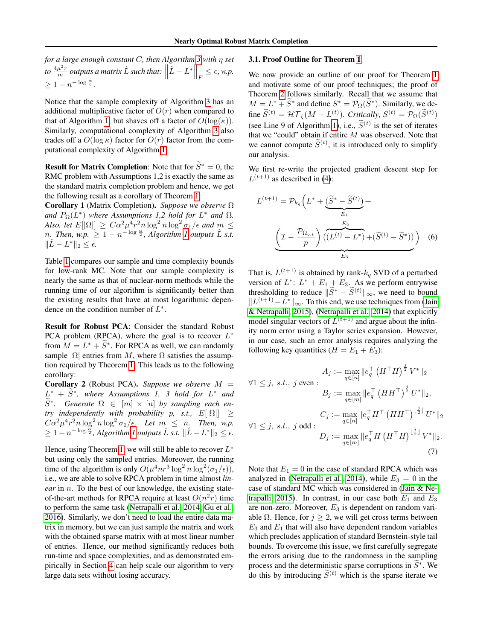*for a large enough constant* C*, then Algorithm [3](#page-19-1) with* η *set* to  $\frac{4\mu^2 r}{m}$  *outputs a matrix*  $\hat{L}$  *such that:*  $\left\|\hat{L} - L^*\right\|_F \leq \epsilon$ , w.p.  $\geq 1 - n^{-\log \frac{\alpha}{2}}.$ 

Notice that the sample complexity of Algorithm [3](#page-19-1) has an additional multiplicative factor of  $O(r)$  when compared to that of Algorithm [1,](#page-3-2) but shaves off a factor of  $O(\log(\kappa))$ . Similarly, computational complexity of Algorithm [3](#page-19-1) also trades off a  $O(\log \kappa)$  factor for  $O(r)$  factor from the computational complexity of Algorithm [1.](#page-3-2)

**Result for Matrix Completion:** Note that for  $\widetilde{S}^* = 0$ , the RMC problem with Assumptions 1,2 is exactly the same as the standard matrix completion problem and hence, we get the following result as a corollary of Theorem [1:](#page-3-1)

Corollary 1 (Matrix Completion). *Suppose we observe* Ω and  $P_{\Omega}(L^*)$  where Assumptions 1,2 hold for  $L^*$  and  $\Omega$ . Also, let  $E[|\Omega|] \geq C\alpha^2 \mu^4 r^2 n \log^2 n \log^2 \sigma_1/\epsilon$  and  $m \leq$ *n.* Then,  $wp \geq 1 - n^{-\log \frac{\alpha}{2}}$  $wp \geq 1 - n^{-\log \frac{\alpha}{2}}$  $wp \geq 1 - n^{-\log \frac{\alpha}{2}}$ , Algorithm 1 outputs  $\hat{L}$  s.t.  $\|\hat{L} - L^*\|_2 \leq \epsilon.$ 

Table [1](#page-5-0) compares our sample and time complexity bounds for low-rank MC. Note that our sample complexity is nearly the same as that of nuclear-norm methods while the running time of our algorithm is significantly better than the existing results that have at most logarithmic dependence on the condition number of  $L^*$ .

Result for Robust PCA: Consider the standard Robust PCA problem (RPCA), where the goal is to recover  $L^*$ from  $M = L^* + \tilde{S}^*$ . For RPCA as well, we can randomly sample  $|\Omega|$  entries from M, where  $\Omega$  satisfies the assumption required by Theorem [1.](#page-3-1) This leads us to the following corollary:

**Corollary 2** (Robust PCA). *Suppose we observe*  $M =$  $L^*$  +  $\widetilde{S}^*$ , where Assumptions 1, 3 hold for  $L^*$  and  $\widetilde{S}^*$ . Generate  $\Omega \in [m] \times [n]$  by sampling each en*try independently with probability p, s.t.,*  $E[|\Omega|] \ge$  $C\alpha^2\mu^4r^2n\log^2 n\log^2 \sigma_1/\epsilon$ . Let  $m \leq n$ . Then, w.p.  $\geq 1 - n^{-\log{\frac{\alpha}{2}}}$  $\geq 1 - n^{-\log{\frac{\alpha}{2}}}$  $\geq 1 - n^{-\log{\frac{\alpha}{2}}}$ , Algorithm 1 outputs  $\hat{L}$  s.t.  $\|\hat{L} - L^*\|_2 \leq \epsilon$ .

Hence, using Theorem [1,](#page-3-1) we will still be able to recover  $L^*$ but using only the sampled entries. Moreover, the running time of the algorithm is only  $O(\mu^4 n r^3 \log^2 n \log^2(\sigma_1/\epsilon)),$ i.e., we are able to solve RPCA problem in time almost *linear* in *n*. To the best of our knowledge, the existing stateof-the-art methods for RPCA require at least  $O(n^2r)$  time to perform the same task [\(Netrapalli et al., 2014;](#page-8-2) [Gu et al.,](#page-8-13) [2016\)](#page-8-13). Similarly, we don't need to load the entire data matrix in memory, but we can just sample the matrix and work with the obtained sparse matrix with at most linear number of entries. Hence, our method significantly reduces both run-time and space complexities, and as demonstrated empirically in Section [4](#page-5-1) can help scale our algorithm to very large data sets without losing accuracy.

### 3.1. Proof Outline for Theorem [1](#page-3-1)

We now provide an outline of our proof for Theorem [1](#page-3-1) and motivate some of our proof techniques; the proof of Theorem [2](#page-3-4) follows similarly. Recall that we assume that  $M = L^* + \widetilde{S}^*$  and define  $S^* = \mathcal{P}_{\Omega}(\widetilde{S}^*)$ . Similarly, we define  $\widetilde{S}^{(t)} = \mathcal{HT}_{\zeta}(M - L^{(t)})$ . *Critically*,  $S^{(t)} = \mathcal{P}_{\Omega}(\widetilde{S}^{(t)})$ (see Line 9 of Algorithm [1\)](#page-3-2), i.e.,  $\widetilde{S}^{(t)}$  is the set of iterates that we "could" obtain if entire  $M$  was observed. Note that we cannot compute  $\widetilde{S}^{(t)}$ , it is introduced only to simplify our analysis.

We first re-write the projected gradient descent step for  $L^{(t+1)}$  as described in [\(4\)](#page-2-2):

<span id="page-4-0"></span>
$$
L^{(t+1)} = \mathcal{P}_{k_q} \left( L^* + \underbrace{(\widetilde{S}^* - \widetilde{S}^{(t)})}_{E_1} + \underbrace{E_2 \left( \underbrace{L - \frac{\mathcal{P}_{\Omega_{q,t}}}{p} \right) \left( \underbrace{(L^{(t)} - L^*)} + (\widetilde{S}^{(t)} - \widetilde{S}^*) \right)}_{E_3} \right) (6)
$$

That is,  $L^{(t+1)}$  is obtained by rank- $k_q$  SVD of a perturbed version of  $L^*$ :  $L^* + E_1 + E_3$ . As we perform entrywise thresholding to reduce  $\|\widetilde{S}^* - \widetilde{S}^{(t)}\|_{\infty}$ , we need to bound  $||L^{(t+1)} - L^*||_{\infty}$ . To this end, we use techniques from [\(Jain](#page-8-6) [& Netrapalli, 2015\)](#page-8-6), [\(Netrapalli et al., 2014\)](#page-8-2) that explicitly model singular vectors of  $L^{(t+1)}$  and argue about the infinity norm error using a Taylor series expansion. However, in our case, such an error analysis requires analyzing the following key quantities  $(H = E_1 + E_3)$ :

$$
A_j := \max_{q \in [n]} \|e_q^\top (H^\top H)^{\frac{j}{2}} V^*\|_2
$$
  
\n
$$
\forall 1 \le j, \ s.t., \ j \text{ even :}
$$
  
\n
$$
B_j := \max_{q \in [m]} \|e_q^\top (HH^\top)^{\frac{j}{2}} U^*\|_2,
$$
  
\n
$$
C_j := \max_{q \in [n]} \|e_q^\top H^\top (HH^\top)^{\frac{j}{2}} U^*\|_2
$$
  
\n
$$
D_j := \max_{q \in [m]} \|e_q^\top H (H^\top H)^{\frac{j}{2}} V^*\|_2.
$$
  
\n(7)

<span id="page-4-1"></span>Note that  $E_1 = 0$  in the case of standard RPCA which was analyzed in [\(Netrapalli et al., 2014\)](#page-8-2), while  $E_3 = 0$  in the case of standard MC which was considered in [\(Jain & Ne](#page-8-6)[trapalli, 2015\)](#page-8-6). In contrast, in our case both  $E_1$  and  $E_3$ are non-zero. Moreover,  $E_3$  is dependent on random variable  $\Omega$ . Hence, for  $j \geq 2$ , we will get cross terms between  $E_3$  and  $E_1$  that will also have dependent random variables which precludes application of standard Bernstein-style tail bounds. To overcome this issue, we first carefully segregate the errors arising due to the randomness in the sampling process and the deterministic sparse corruptions in  $\widetilde{S}^*$ . We do this by introducing  $\widetilde{S}^{(t)}$  which is the sparse iterate we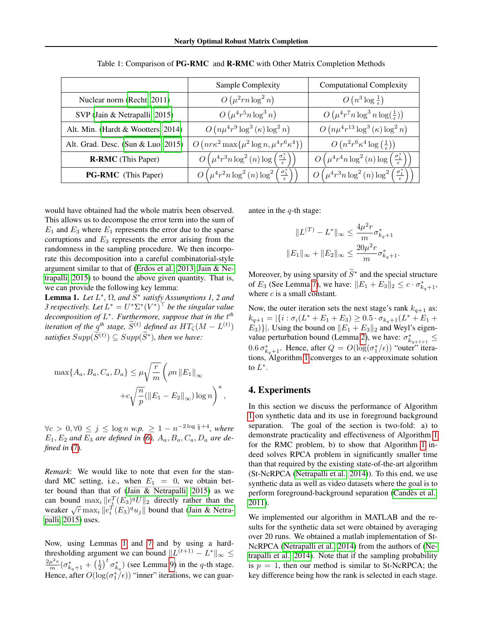<span id="page-5-0"></span>

|                                    | Sample Complexity                                                                        | <b>Computational Complexity</b>                                                          |
|------------------------------------|------------------------------------------------------------------------------------------|------------------------------------------------------------------------------------------|
| Nuclear norm (Recht, 2011)         | $O(\mu^2rn\log^2 n)$                                                                     | $O(n^3 \log \frac{1}{\epsilon})$                                                         |
| SVP (Jain & Netrapalli, 2015)      | $O(\mu^4 r^5 n \log^3 n)$                                                                | $O\left(\mu^4 r^7 n \log^3 n \log(\frac{1}{\epsilon})\right)$                            |
| Alt. Min. (Hardt & Wootters, 2014) | $O(n\mu^4r^9\log^3(\kappa)\log^2 n)$                                                     | $O(n\mu^4r^{13}\log^3(\kappa)\log^2 n)$                                                  |
| Alt. Grad. Desc. (Sun & Luo, 2015) | $O\left(nr\kappa^2\max\{\mu^2\log n, \mu^4r^6\kappa^4\}\right)$                          | $O(n^2r^6\kappa^4\log\left(\frac{1}{\epsilon}\right))$                                   |
| <b>R-RMC</b> (This Paper)          | $O\left(\mu^4 r^3 n \log^2{(n)} \log\left(\frac{\sigma_1^*}{\epsilon}\right)\right)$     | $O\left(\mu^4 r^4 n \log^2{(n)} \log\left(\frac{\sigma_1^*}{\epsilon}\right)\right)$     |
| <b>PG-RMC</b> (This Paper)         | $O\left(\mu^4 r^2 n \log^2{(n)} \log^2{\left(\frac{\sigma_1^*}{\epsilon}\right)}\right)$ | $O\left(\mu^4 r^3 n \log^2{(n)} \log^2{\left(\frac{\sigma_1^*}{\epsilon}\right)}\right)$ |

Table 1: Comparison of PG-RMC and R-RMC with Other Matrix Completion Methods

would have obtained had the whole matrix been observed. This allows us to decompose the error term into the sum of  $E_1$  and  $E_3$  where  $E_1$  represents the error due to the sparse corruptions and  $E_3$  represents the error arising from the randomness in the sampling procedure. We then incorporate this decomposition into a careful combinatorial-style argument similar to that of [\(Erdos et al., 2013;](#page-8-15) [Jain & Ne](#page-8-6)[trapalli, 2015\)](#page-8-6) to bound the above given quantity. That is, we can provide the following key lemma:

<span id="page-5-2"></span>**Lemma 1.** *Let*  $L^*$ ,  $\Omega$ , and  $\widetilde{S}^*$  satisfy Assumptions 1, 2 and *3* respectively. Let  $L^* = U^* \Sigma^* (V^*)^\top$  be the singular value *decomposition of* L ∗ *. Furthermore, suppose that in the* t *th iteration of the*  $q^{th}$  *stage,*  $\widetilde{S}^{(t)}$  *defined as*  $HT_{\zeta}(M - L^{(t)})$  $satisfies \, Supp(\widetilde{S}^{(t)}) \subseteq Supp(\widetilde{S}^*)$ , then we have:

$$
\max\{A_a, B_a, C_a, D_a\} \le \mu \sqrt{\frac{r}{m}} \left(\rho n \|E_1\|_{\infty} + c \sqrt{\frac{n}{p}} (\|E_1 - E_2\|_{\infty}) \log n\right)^a,
$$

 $\forall c > 0, \forall 0 \le j \le \log n \ w.p. \ge 1 - n^{-2\log \frac{c}{4} + 4}, \ where$  $E_1, E_2$  and  $E_3$  are defined in [\(6\)](#page-4-0),  $A_a, B_a, C_a, D_a$  are de*fined in* [\(7\)](#page-4-1)*.*

*Remark*: We would like to note that even for the standard MC setting, i.e., when  $E_1 = 0$ , we obtain bet-ter bound than that of [\(Jain & Netrapalli, 2015\)](#page-8-6) as we can bound  $\max_i ||e_i^T (E_3)^q U||_2$  directly rather than the can bound  $\max_i ||e_i(\text{E}_3)^T \text{U}||_2$  directly rather than the weaker  $\sqrt{r} \max_i ||e_i^T(\text{E}_3)^q \text{U}||_2$  bound that [\(Jain & Netra](#page-8-6)[palli, 2015\)](#page-8-6) uses.

Now, using Lemmas [1](#page-5-2) and [7](#page-10-0) and by using a hardthresholding argument we can bound  $||L^{(t+1)} - L^*||_{\infty} \le$  $\frac{2\mu^2 r}{m}(\sigma_{k_q+1}^* + \left(\frac{1}{2}\right)^t \sigma_{k_q}^*)$  (see Lemma [9\)](#page-12-0) in the q-th stage. Hence, after  $O(\log(\sigma_1^*/\epsilon))$  "inner" iterations, we can guarantee in the  $q$ -th stage:

$$
||L^{(T)} - L^*||_{\infty} \le \frac{4\mu^2 r}{m} \sigma_{k_q+1}^*
$$

$$
||E_1||_{\infty} + ||E_2||_{\infty} \le \frac{20\mu^2 r}{m} \sigma_{k_q+1}^*.
$$

Moreover, by using sparsity of  $\widetilde{S}^*$  and the special structure of  $E_3$  (See Lemma [7\)](#page-10-0), we have:  $||E_1 + E_3||_2 \leq c \cdot \sigma_{k_q+1}^*$ , where  $c$  is a small constant.

Now, the outer iteration sets the next stage's rank  $k_{q+1}$  as:  $k_{q+1} = |\{i : \sigma_i(L^* + E_1 + E_3) \geq 0.5 \cdot \sigma_{k_q+1}(L^* + E_1 + E_2)\}|$  $E_3$ }. Using the bound on  $||E_1 + E_3||_2$  and Weyl's eigen-value perturbation bound (Lemma [2\)](#page-9-0), we have:  $\sigma_{k_{q+1}+1}^* \leq$  $0.6 \sigma_{k_q+1}^*$ . Hence, after  $Q = O(\log(\sigma_1^*/\epsilon))$  "outer" itera-tions, Algorithm [1](#page-3-2) converges to an  $\epsilon$ -approximate solution to  $L^*$ .

## <span id="page-5-1"></span>4. Experiments

In this section we discuss the performance of Algorithm [1](#page-3-2) on synthetic data and its use in foreground background separation. The goal of the section is two-fold: a) to demonstrate practicality and effectiveness of Algorithm [1](#page-3-2) for the RMC problem, b) to show that Algorithm [1](#page-3-2) indeed solves RPCA problem in significantly smaller time than that required by the existing state-of-the-art algorithm (St-NcRPCA [\(Netrapalli et al., 2014\)](#page-8-2)). To this end, we use synthetic data as well as video datasets where the goal is to perform foreground-background separation (Candès et al., [2011\)](#page-7-0).

We implemented our algorithm in MATLAB and the results for the synthetic data set were obtained by averaging over 20 runs. We obtained a matlab implementation of St-NcRPCA [\(Netrapalli et al., 2014\)](#page-8-2) from the authors of [\(Ne](#page-8-2)[trapalli et al., 2014\)](#page-8-2). Note that if the sampling probability is  $p = 1$ , then our method is similar to St-NcRPCA; the key difference being how the rank is selected in each stage.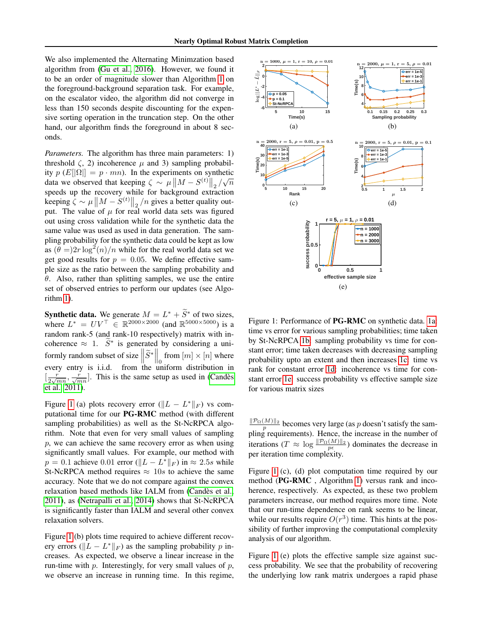We also implemented the Alternating Minimzation based algorithm from [\(Gu et al., 2016\)](#page-8-13). However, we found it to be an order of magnitude slower than Algorithm [1](#page-3-2) on the foreground-background separation task. For example, on the escalator video, the algorithm did not converge in less than 150 seconds despite discounting for the expensive sorting operation in the truncation step. On the other hand, our algorithm finds the foreground in about 8 seconds.

*Parameters.* The algorithm has three main parameters: 1) threshold  $\zeta$ , 2) incoherence  $\mu$  and 3) sampling probability  $p(E[|\Omega|] = p \cdot mn)$ . In the experiments on synthetic ty  $p(x_{\lfloor 1^2\rfloor} - p \cdot mn)$ . In the experiments on symmetric<br>data we observed that keeping  $\zeta \sim \mu \|M - S^{(t)}\|_2 / \sqrt{n}$ speeds up the recovery while for background extraction keeping  $\zeta \sim \mu \| M - S^{(t)} \|_2 / n$  gives a better quality output. The value of  $\mu$  for real world data sets was figured out using cross validation while for the synthetic data the same value was used as used in data generation. The sampling probability for the synthetic data could be kept as low as  $(\theta =)2r \log^2(n)/n$  while for the real world data set we get good results for  $p = 0.05$ . We define effective sample size as the ratio between the sampling probability and  $\theta$ . Also, rather than splitting samples, we use the entire set of observed entries to perform our updates (see Algorithm [1\)](#page-3-2).

**Synthetic data.** We generate  $M = L^* + \tilde{S}^*$  of two sizes, where  $L^* = UV^\top \in \mathbb{R}^{2000 \times 2000}$  (and  $\mathbb{R}^{5000 \times 5000}$ ) is a random rank-5 (and rank-10 respectively) matrix with incoherence  $\approx 1$ .  $\widetilde{S}^*$  is generated by considering a uniformly random subset of size  $\left\|\widetilde{S}^*\right\|_0$  from  $[m] \times [n]$  where every entry is i.i.d. from the uniform distribution in  $\left[\frac{r}{2\sqrt{mn}}, \frac{r}{\sqrt{mn}}\right]$ . This is the same setup as used in (Candès [et al., 2011\)](#page-7-0).

Figure [1](#page-6-0) (a) plots recovery error ( $||L - L^*||_F$ ) vs computational time for our PG-RMC method (with different sampling probabilities) as well as the St-NcRPCA algorithm. Note that even for very small values of sampling  $p$ , we can achieve the same recovery error as when using significantly small values. For example, our method with  $p = 0.1$  achieve 0.01 error ( $||L - L^*||_F$ ) in ≈ 2.5s while St-NcRPCA method requires  $\approx 10s$  to achieve the same accuracy. Note that we do not compare against the convex relaxation based methods like IALM from (Candès et al., [2011\)](#page-7-0), as [\(Netrapalli et al., 2014\)](#page-8-2) shows that St-NcRPCA is significantly faster than IALM and several other convex relaxation solvers.

Figure [1](#page-6-0) (b) plots time required to achieve different recovery errors ( $||L - L^*||_F$ ) as the sampling probability p increases. As expected, we observe a linear increase in the run-time with  $p$ . Interestingly, for very small values of  $p$ , we observe an increase in running time. In this regime,

<span id="page-6-3"></span><span id="page-6-2"></span><span id="page-6-1"></span><span id="page-6-0"></span>

<span id="page-6-5"></span><span id="page-6-4"></span>Figure 1: Performance of PG-RMC on synthetic data. [1a:](#page-6-1) time vs error for various sampling probabilities; time taken by St-NcRPCA [1b:](#page-6-2) sampling probability vs time for constant error; time taken decreases with decreasing sampling probability upto an extent and then increases [1c:](#page-6-3) time vs rank for constant error [1d:](#page-6-4) incoherence vs time for constant error [1e:](#page-6-5) success probability vs effective sample size for various matrix sizes

 $\frac{\|\mathcal{P}_{\Omega}(M)\|_2}{p}$  becomes very large (as p doesn't satisfy the sampling requirements). Hence, the increase in the number of iterations ( $T \approx \log \frac{\|\mathcal{P}_{\Omega}(M)\|_2}{p\epsilon}$ ) dominates the decrease in per iteration time complexity.

Figure [1](#page-6-0) (c), (d) plot computation time required by our method (PG-RMC , Algorithm [1\)](#page-3-2) versus rank and incoherence, respectively. As expected, as these two problem parameters increase, our method requires more time. Note that our run-time dependence on rank seems to be linear, while our results require  $O(r^3)$  time. This hints at the possibility of further improving the computational complexity analysis of our algorithm.

Figure [1](#page-6-0) (e) plots the effective sample size against success probability. We see that the probability of recovering the underlying low rank matrix undergoes a rapid phase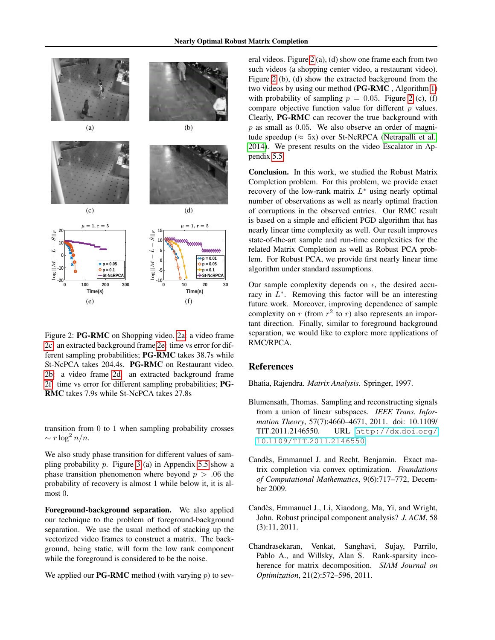<span id="page-7-10"></span><span id="page-7-5"></span><span id="page-7-4"></span>

<span id="page-7-6"></span>Figure 2: PG-RMC on Shopping video. [2a:](#page-7-4) a video frame [2c:](#page-7-5) an extracted background frame [2e:](#page-7-6) time vs error for different sampling probabilities; PG-RMC takes 38.7s while St-NcPCA takes 204.4s. PG-RMC on Restaurant video. [2b:](#page-7-7) a video frame [2d:](#page-7-8) an extracted background frame [2f:](#page-7-9) time vs error for different sampling probabilities; PG-RMC takes 7.9s while St-NcPCA takes 27.8s

transition from 0 to 1 when sampling probability crosses  $\sim r \log^2 n/n$ .

We also study phase transition for different values of sampling probability  $p$ . Figure [3](#page-26-0) (a) in Appendix [5.5](#page-25-0) show a phase transition phenomenon where beyond  $p > .06$  the probability of recovery is almost 1 while below it, it is almost 0.

Foreground-background separation. We also applied our technique to the problem of foreground-background separation. We use the usual method of stacking up the vectorized video frames to construct a matrix. The background, being static, will form the low rank component while the foreground is considered to be the noise.

We applied our **PG-RMC** method (with varying  $p$ ) to sev-

<span id="page-7-7"></span>eral videos. Figure [2](#page-7-10) (a), (d) show one frame each from two such videos (a shopping center video, a restaurant video). Figure [2](#page-7-10) (b), (d) show the extracted background from the two videos by using our method (PG-RMC , Algorithm [1\)](#page-3-2) with probability of sampling  $p = 0.05$ . Figure [2](#page-7-10) (c), (f) compare objective function value for different  $p$  values. Clearly, PG-RMC can recover the true background with p as small as 0.05. We also observe an order of magnitude speedup ( $\approx$  5x) over St-NcRPCA [\(Netrapalli et al.,](#page-8-2) [2014\)](#page-8-2). We present results on the video Escalator in Appendix [5.5.](#page-25-0)

<span id="page-7-8"></span>Conclusion. In this work, we studied the Robust Matrix Completion problem. For this problem, we provide exact recovery of the low-rank matrix  $L^*$  using nearly optimal number of observations as well as nearly optimal fraction of corruptions in the observed entries. Our RMC result is based on a simple and efficient PGD algorithm that has nearly linear time complexity as well. Our result improves state-of-the-art sample and run-time complexities for the related Matrix Completion as well as Robust PCA problem. For Robust PCA, we provide first nearly linear time algorithm under standard assumptions.

<span id="page-7-9"></span>Our sample complexity depends on  $\epsilon$ , the desired accuracy in  $L^*$ . Removing this factor will be an interesting future work. Moreover, improving dependence of sample complexity on  $r$  (from  $r^2$  to  $r$ ) also represents an important direction. Finally, similar to foreground background separation, we would like to explore more applications of RMC/RPCA.

## References

<span id="page-7-11"></span>Bhatia, Rajendra. *Matrix Analysis*. Springer, 1997.

- <span id="page-7-1"></span>Blumensath, Thomas. Sampling and reconstructing signals from a union of linear subspaces. *IEEE Trans. Information Theory*, 57(7):4660–4671, 2011. doi: 10.1109/ TIT.2011.2146550. URL [http://dx](http://dx.doi.org/10.1109/TIT.2011.2146550).doi.org/ 10.[1109/TIT](http://dx.doi.org/10.1109/TIT.2011.2146550).2011.2146550.
- <span id="page-7-2"></span>Candès, Emmanuel J. and Recht, Benjamin. Exact matrix completion via convex optimization. *Foundations of Computational Mathematics*, 9(6):717–772, December 2009.
- <span id="page-7-0"></span>Candes, Emmanuel J., Li, Xiaodong, Ma, Yi, and Wright, ` John. Robust principal component analysis? *J. ACM*, 58 (3):11, 2011.
- <span id="page-7-3"></span>Chandrasekaran, Venkat, Sanghavi, Sujay, Parrilo, Pablo A., and Willsky, Alan S. Rank-sparsity incoherence for matrix decomposition. *SIAM Journal on Optimization*, 21(2):572–596, 2011.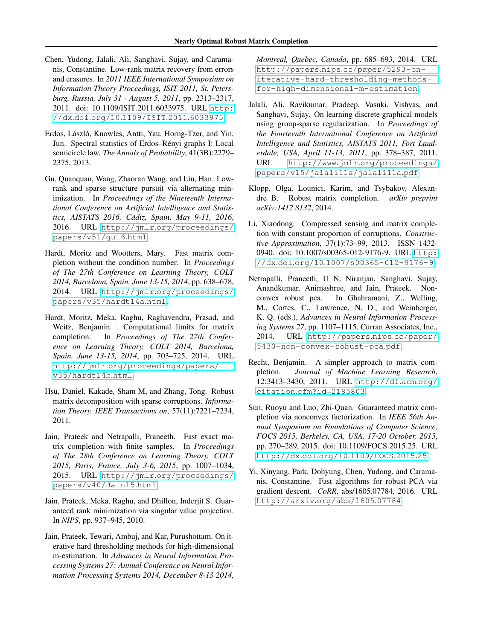- <span id="page-8-3"></span>Chen, Yudong, Jalali, Ali, Sanghavi, Sujay, and Caramanis, Constantine. Low-rank matrix recovery from errors and erasures. In *2011 IEEE International Symposium on Information Theory Proceedings, ISIT 2011, St. Petersburg, Russia, July 31 - August 5, 2011*, pp. 2313–2317, 2011. doi: 10.1109/ISIT.2011.6033975. URL [http:](http://dx.doi.org/10.1109/ISIT.2011.6033975) //dx.doi.org/10.[1109/ISIT](http://dx.doi.org/10.1109/ISIT.2011.6033975).2011.6033975.
- <span id="page-8-15"></span>Erdos, László, Knowles, Antti, Yau, Horng-Tzer, and Yin, Jun. Spectral statistics of Erdos-Rényi graphs I: Local semicircle law. *The Annals of Probability*, 41(3B):2279– 2375, 2013.
- <span id="page-8-13"></span>Gu, Quanquan, Wang, Zhaoran Wang, and Liu, Han. Lowrank and sparse structure pursuit via alternating minimization. In *Proceedings of the Nineteenth International Conference on Artificial Intelligence and Statistics, AISTATS 2016, Cadiz, Spain, May 9-11, 2016 ´* , 2016. URL http://jmlr.[org/proceedings/](http://jmlr.org/proceedings/papers/v51/gu16.html) [papers/v51/gu16](http://jmlr.org/proceedings/papers/v51/gu16.html).html.
- <span id="page-8-8"></span>Hardt, Moritz and Wootters, Mary. Fast matrix completion without the condition number. In *Proceedings of The 27th Conference on Learning Theory, COLT 2014, Barcelona, Spain, June 13-15, 2014*, pp. 638–678, 2014. URL http://jmlr.[org/proceedings/](http://jmlr.org/proceedings/papers/v35/hardt14a.html) [papers/v35/hardt14a](http://jmlr.org/proceedings/papers/v35/hardt14a.html).html.
- <span id="page-8-12"></span>Hardt, Moritz, Meka, Raghu, Raghavendra, Prasad, and Weitz, Benjamin. Computational limits for matrix completion. In *Proceedings of The 27th Conference on Learning Theory, COLT 2014, Barcelona, Spain, June 13-15, 2014*, pp. 703–725, 2014. URL http://jmlr.[org/proceedings/papers/](http://jmlr.org/proceedings/papers/v35/hardt14b.html) [v35/hardt14b](http://jmlr.org/proceedings/papers/v35/hardt14b.html).html.
- <span id="page-8-1"></span>Hsu, Daniel, Kakade, Sham M, and Zhang, Tong. Robust matrix decomposition with sparse corruptions. *Information Theory, IEEE Transactions on*, 57(11):7221–7234, 2011.
- <span id="page-8-6"></span>Jain, Prateek and Netrapalli, Praneeth. Fast exact matrix completion with finite samples. In *Proceedings of The 28th Conference on Learning Theory, COLT 2015, Paris, France, July 3-6, 2015*, pp. 1007–1034, 2015. URL http://jmlr.[org/proceedings/](http://jmlr.org/proceedings/papers/v40/Jain15.html) [papers/v40/Jain15](http://jmlr.org/proceedings/papers/v40/Jain15.html).html.
- <span id="page-8-11"></span>Jain, Prateek, Meka, Raghu, and Dhillon, Inderjit S. Guaranteed rank minimization via singular value projection. In *NIPS*, pp. 937–945, 2010.
- <span id="page-8-7"></span>Jain, Prateek, Tewari, Ambuj, and Kar, Purushottam. On iterative hard thresholding methods for high-dimensional m-estimation. In *Advances in Neural Information Processing Systems 27: Annual Conference on Neural Information Processing Systems 2014, December 8-13 2014,*

*Montreal, Quebec, Canada*, pp. 685–693, 2014. URL http://papers.nips.[cc/paper/5293-on](http://papers.nips.cc/paper/5293-on-iterative-hard-thresholding-methods-for-high-dimensional-m-estimation)[iterative-hard-thresholding-methods](http://papers.nips.cc/paper/5293-on-iterative-hard-thresholding-methods-for-high-dimensional-m-estimation)[for-high-dimensional-m-estimation](http://papers.nips.cc/paper/5293-on-iterative-hard-thresholding-methods-for-high-dimensional-m-estimation).

- <span id="page-8-0"></span>Jalali, Ali, Ravikumar, Pradeep, Vasuki, Vishvas, and Sanghavi, Sujay. On learning discrete graphical models using group-sparse regularization. In *Proceedings of the Fourteenth International Conference on Artificial Intelligence and Statistics, AISTATS 2011, Fort Lauderdale, USA, April 11-13, 2011*, pp. 378–387, 2011. URL http://www.jmlr.[org/proceedings/](http://www.jmlr.org/proceedings/papers/v15/jalali11a/jalali11a.pdf) [papers/v15/jalali11a/jalali11a](http://www.jmlr.org/proceedings/papers/v15/jalali11a/jalali11a.pdf).pdf.
- <span id="page-8-5"></span>Klopp, Olga, Lounici, Karim, and Tsybakov, Alexandre B. Robust matrix completion. *arXiv preprint arXiv:1412.8132*, 2014.
- <span id="page-8-4"></span>Li, Xiaodong. Compressed sensing and matrix completion with constant proportion of corruptions. *Constructive Approximation*, 37(1):73–99, 2013. ISSN 1432 0940. doi: 10.1007/s00365-012-9176-9. URL [http:](http://dx.doi.org/10.1007/s00365-012-9176-9) //dx.doi.org/10.[1007/s00365-012-9176-9](http://dx.doi.org/10.1007/s00365-012-9176-9).
- <span id="page-8-2"></span>Netrapalli, Praneeth, U N, Niranjan, Sanghavi, Sujay, Anandkumar, Animashree, and Jain, Prateek. Nonconvex robust pca. In Ghahramani, Z., Welling, M., Cortes, C., Lawrence, N. D., and Weinberger, K. Q. (eds.), *Advances in Neural Information Processing Systems 27*, pp. 1107–1115. Curran Associates, Inc., 2014. URL [http://papers](http://papers.nips.cc/paper/5430-non-convex-robust-pca.pdf).nips.cc/paper/ [5430-non-convex-robust-pca](http://papers.nips.cc/paper/5430-non-convex-robust-pca.pdf).pdf.
- <span id="page-8-10"></span>Recht, Benjamin. A simpler approach to matrix completion. *Journal of Machine Learning Research*, 12:3413–3430, 2011. URL [http://dl](http://dl.acm.org/citation.cfm?id=2185803).acm.org/ citation.[cfm?id=2185803](http://dl.acm.org/citation.cfm?id=2185803).
- <span id="page-8-14"></span>Sun, Ruoyu and Luo, Zhi-Quan. Guaranteed matrix completion via nonconvex factorization. In *IEEE 56th Annual Symposium on Foundations of Computer Science, FOCS 2015, Berkeley, CA, USA, 17-20 October, 2015*, pp. 270–289, 2015. doi: 10.1109/FOCS.2015.25. URL [http://dx](http://dx.doi.org/10.1109/FOCS.2015.25).doi.org/10.1109/FOCS.2015.25.
- <span id="page-8-9"></span>Yi, Xinyang, Park, Dohyung, Chen, Yudong, and Caramanis, Constantine. Fast algorithms for robust PCA via gradient descent. *CoRR*, abs/1605.07784, 2016. URL [http://arxiv](http://arxiv.org/abs/1605.07784).org/abs/1605.07784.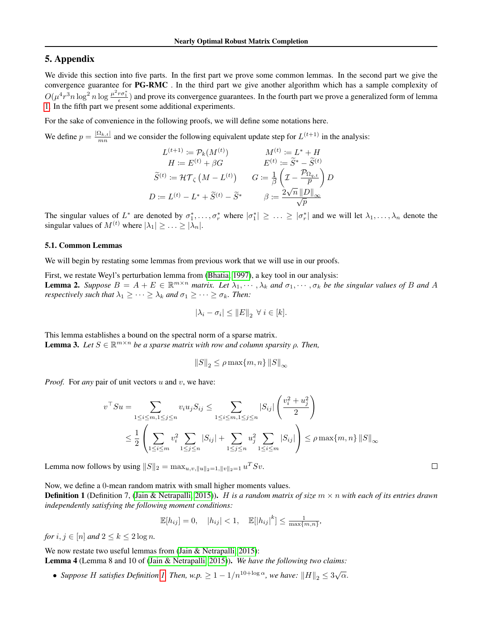## 5. Appendix

We divide this section into five parts. In the first part we prove some common lemmas. In the second part we give the convergence guarantee for PG-RMC . In the third part we give another algorithm which has a sample complexity of  $O(\mu^4 r^3 n \log^2 n \log \frac{\mu^2 r \sigma_1^*}{\epsilon})$  and prove its convergence guarantees. In the fourth part we prove a generalized form of lemma [1.](#page-5-2) In the fifth part we present some additional experiments.

For the sake of convenience in the following proofs, we will define some notations here.

We define  $p = \frac{|\Omega_{k,t}|}{mn}$  and we consider the following equivalent update step for  $L^{(t+1)}$  in the analysis:

$$
L^{(t+1)} := \mathcal{P}_k(M^{(t)}) \qquad \qquad M^{(t)} := L^* + H
$$

$$
H := E^{(t)} + \beta G \qquad \qquad E^{(t)} := \widetilde{S}^* - \widetilde{S}^{(t)}
$$

$$
\widetilde{S}^{(t)} := \mathcal{H}\mathcal{T}_{\zeta} (M - L^{(t)}) \qquad G := \frac{1}{\beta} \left( \mathcal{I} - \frac{\mathcal{P}_{\Omega_{q,t}}}{p} \right) D
$$

$$
D := L^{(t)} - L^* + \widetilde{S}^{(t)} - \widetilde{S}^* \qquad \qquad \beta := \frac{2\sqrt{n} ||D||_{\infty}}{\sqrt{p}}
$$

The singular values of  $L^*$  are denoted by  $\sigma_1^*,\ldots,\sigma_r^*$  where  $|\sigma_1^*| \geq \ldots \geq |\sigma_r^*|$  and we will let  $\lambda_1,\ldots,\lambda_n$  denote the singular values of  $M^{(t)}$  where  $|\lambda_1| \geq \ldots \geq |\lambda_n|$ .

#### 5.1. Common Lemmas

We will begin by restating some lemmas from previous work that we will use in our proofs.

<span id="page-9-0"></span>First, we restate Weyl's perturbation lemma from [\(Bhatia, 1997\)](#page-7-11), a key tool in our analysis: **Lemma 2.** Suppose  $B = A + E \in \mathbb{R}^{m \times n}$  matrix. Let  $\lambda_1, \dots, \lambda_k$  and  $\sigma_1, \dots, \sigma_k$  be the singular values of B and A *respectively such that*  $\lambda_1 \geq \cdots \geq \lambda_k$  *and*  $\sigma_1 \geq \cdots \geq \sigma_k$ *. Then:* 

$$
|\lambda_i - \sigma_i| \le ||E||_2 \ \forall \ i \in [k].
$$

<span id="page-9-3"></span>This lemma establishes a bound on the spectral norm of a sparse matrix. **Lemma 3.** Let  $S \in \mathbb{R}^{m \times n}$  be a sparse matrix with row and column sparsity  $\rho$ . Then,

$$
||S||_2 \le \rho \max\{m, n\} ||S||_{\infty}
$$

*Proof.* For *any* pair of unit vectors u and v, we have:

$$
v^{\top} S u = \sum_{1 \le i \le m, 1 \le j \le n} v_i u_j S_{ij} \le \sum_{1 \le i \le m, 1 \le j \le n} |S_{ij}| \left( \frac{v_i^2 + u_j^2}{2} \right)
$$
  

$$
\le \frac{1}{2} \left( \sum_{1 \le i \le m} v_i^2 \sum_{1 \le j \le n} |S_{ij}| + \sum_{1 \le j \le n} u_j^2 \sum_{1 \le i \le m} |S_{ij}| \right) \le \rho \max\{m, n\} ||S||_{\infty}
$$

Lemma now follows by using  $||S||_2 = \max_{u,v,||u||_2=1,||v||_2=1} u^T S v$ .

Now, we define a 0-mean random matrix with small higher moments values.

<span id="page-9-1"></span>Definition 1 (Definition 7, [\(Jain & Netrapalli, 2015\)](#page-8-6)). H *is a random matrix of size* m × n *with each of its entries drawn independently satisfying the following moment conditions:*

$$
\mathbb{E}[h_{ij}] = 0, \quad |h_{ij}| < 1, \quad \mathbb{E}[|h_{ij}|^k] \le \frac{1}{\max\{m,n\}},
$$

*for*  $i, j \in [n]$  *and*  $2 \leq k \leq 2 \log n$ *.* 

<span id="page-9-2"></span>We now restate two useful lemmas from [\(Jain & Netrapalli, 2015\)](#page-8-6): Lemma 4 (Lemma 8 and 10 of [\(Jain & Netrapalli, 2015\)](#page-8-6)). *We have the following two claims:*

• *Suppose H satisfies Definition [1.](#page-9-1) Then, w.p.*  $\geq 1 - 1/n^{10 + \log \alpha}$ , we have:  $||H||_2 \leq 3\sqrt{\alpha}$ .

 $\Box$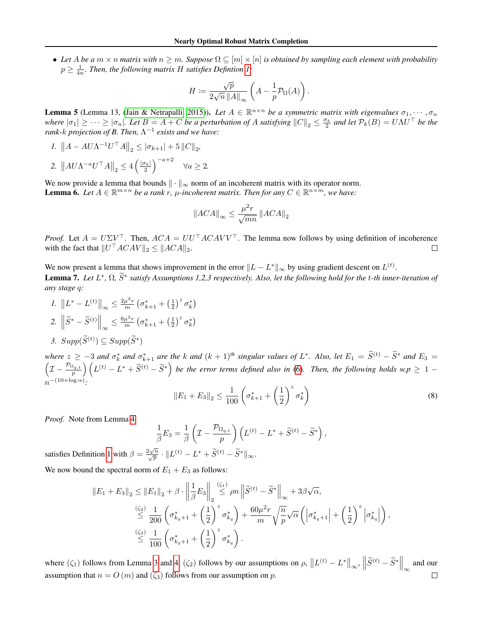• Let A be a  $m \times n$  matrix with  $n \geq m$ . Suppose  $\Omega \subseteq [m] \times [n]$  is obtained by sampling each element with probability  $p \geq \frac{1}{4n}$ . Then, the following matrix H satisfies Defintion [1:](#page-9-1)

$$
H \coloneqq \frac{\sqrt{p}}{2\sqrt{n} \left\|A\right\|_{\infty}} \left(A - \frac{1}{p} \mathcal{P}_{\Omega}(A)\right).
$$

<span id="page-10-2"></span>**Lemma 5** (Lemma 13, [\(Jain & Netrapalli, 2015\)](#page-8-6)). Let  $A \in \mathbb{R}^{n \times n}$  be a symmetric matrix with eigenvalues  $\sigma_1, \cdots, \sigma_n$ *where*  $|\sigma_1| \geq \cdots \geq |\sigma_n|$ . Let  $B = A + C$  be a perturbation of A satisfying  $||C||_2 \leq \frac{\sigma_k}{2}$  and let  $\mathcal{P}_k(B) = U \Lambda U^{\top}$  be the *rank-k projection of B. Then,*  $\Lambda^{-1}$  *exists and we have:* 

*I*.  $||A - A U \Lambda^{-1} U^\top A||_2 \leq |\sigma_{k+1}| + 5 ||C||_2$ , 2.  $||AU\Lambda^{-a}U^{\top}A||_2 \leq 4\left(\frac{|\sigma_k|}{2}\right)^{-a+2} \quad \forall a \geq 2.$ 

<span id="page-10-1"></span>We now provide a lemma that bounds  $\|\cdot\|_{\infty}$  norm of an incoherent matrix with its operator norm. **Lemma 6.** Let  $A \in \mathbb{R}^{m \times n}$  be a rank r,  $\mu$ -incoherent matrix. Then for any  $C \in \mathbb{R}^{n \times m}$ , we have:

$$
\left\|ACA\right\|_{\infty}\leq\frac{\mu^{2}r}{\sqrt{mn}}\left\|ACA\right\|_{2}
$$

*Proof.* Let  $A = U\Sigma V^{\top}$ . Then,  $ACA = UU^{\top}ACAVV^{\top}$ . The lemma now follows by using definition of incoherence with the fact that  $||U^\top A C A V||_2 \le ||ACA||_2$ .  $\Box$ 

<span id="page-10-0"></span>We now present a lemma that shows improvement in the error  $||L - L^*||_{\infty}$  by using gradient descent on  $L^{(t)}$ . **Lemma 7.** *Let L*<sup>∗</sup>, Ω,  $\tilde{S}$ <sup>∗</sup> satisfy Assumptions 1,2,3 respectively. Also, let the following hold for the t-th inner-iteration of *any stage* q*:*

1. 
$$
||L^* - L^{(t)}||_{\infty} \le \frac{2\mu^2 r}{m} \left(\sigma_{k+1}^* + \left(\frac{1}{2}\right)^z \sigma_k^*\right)
$$
  
2. 
$$
\left\|\widetilde{S}^* - \widetilde{S}^{(t)}\right\|_{\infty} \le \frac{8\mu^2 r}{m} \left(\sigma_{k+1}^* + \left(\frac{1}{2}\right)^z \sigma_k^*\right)
$$
  
3. 
$$
Supp(\widetilde{S}^{(t)}) \subseteq Supp(\widetilde{S}^*)
$$

*where*  $z \ge -3$  *and*  $\sigma_k^*$  *and*  $\sigma_{k+1}^*$  *are the* k *and*  $(k+1)$ <sup>th</sup> *singular values of*  $L^*$ where  $z \ge -3$  and  $\sigma_k^*$  and  $\sigma_{k+1}^*$  are the k and  $(k+1)^{th}$  singular values of  $L^*$ . Also, let  $E_1 = \tilde{S}^{(t)} - \tilde{S}^*$  and  $E_3 =$ <br> $\left(\mathcal{I} - \frac{\mathcal{P}_{\Omega_{q,t}}}{p}\right) \left(L^{(t)} - L^* + \tilde{S}^{(t)} - \tilde{S}^*\right)$  be the error terms n −(10+log α) *:* z

$$
||E_1 + E_3||_2 \le \frac{1}{100} \left(\sigma_{k+1}^* + \left(\frac{1}{2}\right)^z \sigma_k^*\right) \tag{8}
$$

*Proof.* Note from Lemma [4,](#page-9-2)

$$
\frac{1}{\beta}E_3 = \frac{1}{\beta} \left( \mathcal{I} - \frac{\mathcal{P}_{\Omega_{q,t}}}{p} \right) \left( L^{(t)} - L^* + \widetilde{S}^{(t)} - \widetilde{S}^* \right),
$$

satisfies Definition [1](#page-9-1) with  $\beta = \frac{2\sqrt{n}}{\sqrt{p}} \cdot ||L^{(t)} - L^* + \tilde{S}^{(t)} - \tilde{S}^*||_{\infty}$ .

We now bound the spectral norm of  $E_1 + E_3$  as follows:

$$
||E_1 + E_3||_2 \le ||E_1||_2 + \beta \cdot \left\|\frac{1}{\beta}E_3\right\|_2 \stackrel{(\zeta_1)}{\le} \rho n \left\|\tilde{S}^{(t)} - \tilde{S}^*\right\|_{\infty} + 3\beta\sqrt{\alpha},
$$
  

$$
\stackrel{(\zeta_2)}{\le} \frac{1}{200} \left(\sigma_{k_q+1}^* + \left(\frac{1}{2}\right)^z \sigma_{k_q}^*\right) + \frac{60\mu^2 r}{m} \sqrt{\frac{n}{p}} \sqrt{\alpha} \left(\left|\sigma_{k_q+1}^*\right| + \left(\frac{1}{2}\right)^z \left|\sigma_{k_q}^*\right|\right),
$$
  

$$
\stackrel{(\zeta_3)}{\le} \frac{1}{100} \left(\sigma_{k_q+1}^* + \left(\frac{1}{2}\right)^z \sigma_{k_q}^*\right).
$$

where  $(\zeta_1)$  follows from Lemma [3](#page-9-3) and [4,](#page-9-2)  $(\zeta_2)$  follows by our assumptions on  $\rho$ ,  $||L^{(t)} - L^*||_{\infty}$ ,  $||\widetilde{S}^{(t)} - \widetilde{S}^*||_{\infty}$  and our assumption that  $n = O(m)$  and  $(\zeta_3)$  follows from our assumption on p.  $\Box$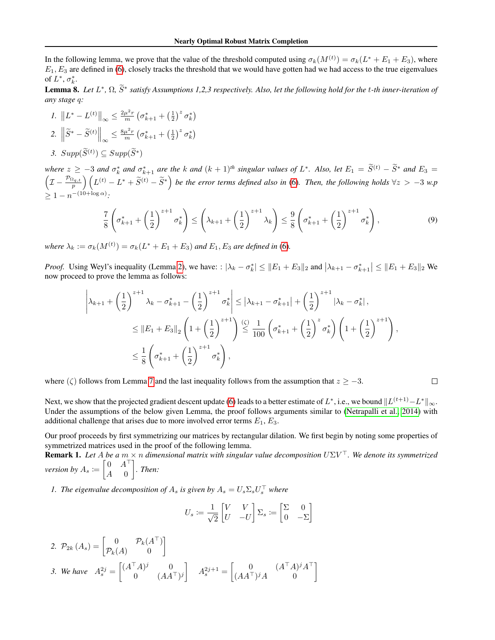In the following lemma, we prove that the value of the threshold computed using  $\sigma_k(M^{(t)}) = \sigma_k(L^* + E_1 + E_3)$ , where  $E_1, E_3$  are defined in [\(6\)](#page-4-0), closely tracks the threshold that we would have gotten had we had access to the true eigenvalues of  $L^*, \sigma_k^*$ .

<span id="page-11-1"></span>**Lemma 8.** *Let L*<sup>∗</sup>, Ω,  $\widetilde{S}$ <sup>∗</sup> satisfy Assumptions 1,2,3 respectively. Also, let the following hold for the t-th inner-iteration of *any stage* q*:*

1. 
$$
||L^* - L^{(t)}||_{\infty} \le \frac{2\mu^2 r}{m} \left(\sigma_{k+1}^* + \left(\frac{1}{2}\right)^z \sigma_k^*\right)
$$
  
2. 
$$
\left\|\widetilde{S}^* - \widetilde{S}^{(t)}\right\|_{\infty} \le \frac{8\mu^2 r}{m} \left(\sigma_{k+1}^* + \left(\frac{1}{2}\right)^z \sigma_k^*\right)
$$
  
3. 
$$
Supp(\widetilde{S}^{(t)}) \subseteq Supp(\widetilde{S}^*)
$$

*where*  $z \ge -3$  *and*  $\sigma_k^*$  *and*  $\sigma_{k+1}^*$  *are the k and*  $(k+1)$ <sup>*th*</sup> *singular values of*  $L^*$ *. Also, let*  $E_1 = \tilde{S}^{(t)} - \tilde{S}^*$  *and*  $E_3 =$ <br> $\left(\tau - \frac{\mathcal{P}_{\Omega_{q,t}}}{\tau}\right) \left(\frac{I(t)}{I(t)} - \frac{I^*}{I^*} + \tilde{S}^{(t)}$  $(I - \frac{\mathcal{P}_{\Omega_{q,t}}}{p})\left(L^{(t)} - L^* + \widetilde{S}^{(t)} - \widetilde{S}^*\right)$  be the error terms defined also in [\(6\)](#page-4-0). Then, the following holds  $\forall z > -3$  w.p  $\geq 1 - n^{-(10 + \log \alpha)}$ :

$$
\frac{7}{8} \left( \sigma_{k+1}^* + \left( \frac{1}{2} \right)^{z+1} \sigma_k^* \right) \le \left( \lambda_{k+1} + \left( \frac{1}{2} \right)^{z+1} \lambda_k \right) \le \frac{9}{8} \left( \sigma_{k+1}^* + \left( \frac{1}{2} \right)^{z+1} \sigma_k^* \right),\tag{9}
$$

*where*  $\lambda_k := \sigma_k(M^{(t)}) = \sigma_k(L^* + E_1 + E_3)$  *and*  $E_1, E_3$  *are defined in* [\(6\)](#page-4-0).

*Proof.* Using Weyl's inequality (Lemma [2\)](#page-9-0), we have: :  $|\lambda_k - \sigma_k^*| \le ||E_1 + E_3||_2$  and  $|\lambda_{k+1} - \sigma_{k+1}^*| \le ||E_1 + E_3||_2$  We now proceed to prove the lemma as follows:

$$
\left| \lambda_{k+1} + \left( \frac{1}{2} \right)^{z+1} \lambda_k - \sigma_{k+1}^* - \left( \frac{1}{2} \right)^{z+1} \sigma_k^* \right| \leq \left| \lambda_{k+1} - \sigma_{k+1}^* \right| + \left( \frac{1}{2} \right)^{z+1} \left| \lambda_k - \sigma_k^* \right|,
$$
  

$$
\leq \left\| E_1 + E_3 \right\|_2 \left( 1 + \left( \frac{1}{2} \right)^{z+1} \right) \stackrel{\text{(c)}}{\leq} \frac{1}{100} \left( \sigma_{k+1}^* + \left( \frac{1}{2} \right)^z \sigma_k^* \right) \left( 1 + \left( \frac{1}{2} \right)^{z+1} \right),
$$
  

$$
\leq \frac{1}{8} \left( \sigma_{k+1}^* + \left( \frac{1}{2} \right)^{z+1} \sigma_k^* \right),
$$

where ( $\zeta$ ) follows from Lemma [7](#page-10-0) and the last inequality follows from the assumption that  $z \ge -3$ .

 $\Box$ 

Next, we show that the projected gradient descent update [\(6\)](#page-4-0) leads to a better estimate of  $L^*,$  i.e., we bound  $\|L^{(t+1)}-L^*\|_\infty$ . Under the assumptions of the below given Lemma, the proof follows arguments similar to [\(Netrapalli et al., 2014\)](#page-8-2) with additional challenge that arises due to more involved error terms  $E_1, E_3$ .

Our proof proceeds by first symmetrizing our matrices by rectangular dilation. We first begin by noting some properties of symmetrized matrices used in the proof of the following lemma.

<span id="page-11-0"></span>Remark 1. *Let* A *be a* m × n *dimensional matrix with singular value decomposition* UΣV <sup>&</sup>gt;*. We denote its symmetrized version by*  $A_s \coloneqq \begin{bmatrix} 0 & A^\top \\ A & 0 \end{bmatrix}$  $A \quad 0$ *. Then:*

*1. The eigenvalue decomposition of*  $A_s$  *is given by*  $A_s = U_s \Sigma_s U_s^{\top}$  *where* 

$$
U_s := \frac{1}{\sqrt{2}} \begin{bmatrix} V & V \\ U & -U \end{bmatrix} \Sigma_s := \begin{bmatrix} \Sigma & 0 \\ 0 & -\Sigma \end{bmatrix}
$$

2. 
$$
\mathcal{P}_{2k}(A_s) = \begin{bmatrix} 0 & \mathcal{P}_k(A^\top) \\ \mathcal{P}_k(A) & 0 \end{bmatrix}
$$
  
3. We have  $A_s^{2j} = \begin{bmatrix} (A^\top A)^j & 0 \\ 0 & (AA^\top)^j \end{bmatrix}$   $A_s^{2j+1} = \begin{bmatrix} 0 & (A^\top A)^j A^\top \\ (AA^\top)^j A & 0 \end{bmatrix}$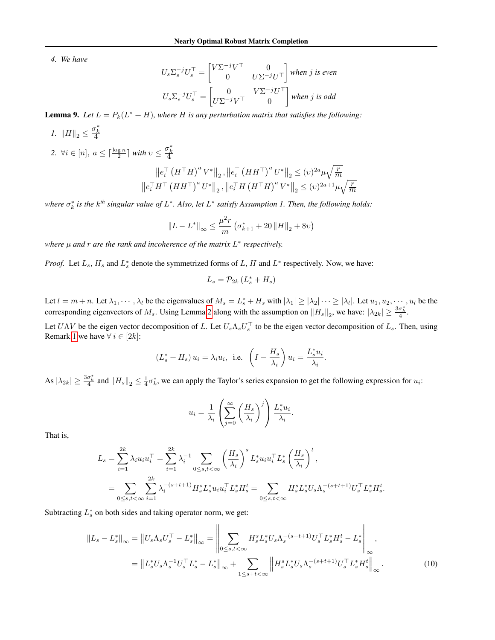*4. We have*

$$
U_s \Sigma_s^{-j} U_s^{\top} = \begin{bmatrix} V \Sigma^{-j} V^{\top} & 0 \\ 0 & U \Sigma^{-j} U^{\top} \end{bmatrix}
$$
 when j is even  

$$
U_s \Sigma_s^{-j} U_s^{\top} = \begin{bmatrix} 0 & V \Sigma^{-j} U^{\top} \\ U \Sigma^{-j} V^{\top} & 0 \end{bmatrix}
$$
 when j is odd

<span id="page-12-0"></span>**Lemma 9.** Let  $L = P_k(L^* + H)$ , where H is any perturbation matrix that satisfies the following:

1. 
$$
||H||_2 \leq \frac{\sigma_k^*}{4}
$$
  
\n2.  $\forall i \in [n], a \leq \lceil \frac{\log n}{2} \rceil$  with  $v \leq \frac{\sigma_k^*}{4}$   
\n
$$
||e_i^\top (H^\top H)^a V^*||_2, ||e_i^\top (HH^\top)^a U^*||_2 \leq (v)^{2a} \mu \sqrt{\frac{r}{m}}
$$
\n
$$
||e_i^\top H^\top (HH^\top)^a U^*||_2, ||e_i^\top H (H^\top H)^a V^*||_2 \leq (v)^{2a+1} \mu \sqrt{\frac{r}{m}}
$$

where  $\sigma_k^*$  is the  $k^{th}$  singular value of  $L^*$ . Also, let  $L^*$  satisfy Assumption 1. Then, the following holds:

$$
||L - L^*||_{\infty} \le \frac{\mu^2 r}{m} \left( \sigma_{k+1}^* + 20 ||H||_2 + 8\nu \right)
$$

*where* μ and *r* are the rank and incoherence of the matrix L<sup>\*</sup> respectively.

*Proof.* Let  $L_s$ ,  $H_s$  and  $L_s^*$  denote the symmetrized forms of L, H and  $L^*$  respectively. Now, we have:

$$
L_s = \mathcal{P}_{2k} \left( L_s^* + H_s \right)
$$

Let  $l = m + n$ . Let  $\lambda_1, \dots, \lambda_l$  be the eigenvalues of  $M_s = L_s^* + H_s$  with  $|\lambda_1| \ge |\lambda_2| \dots \ge |\lambda_l|$ . Let  $u_1, u_2, \dots, u_l$  be the corresponding eigenvectors of  $M_s$ . Using Lemma [2](#page-9-0) along with the assumption on  $||H_s||_2$ , we have:  $|\lambda_{2k}| \geq \frac{3\sigma_k^*}{4}$ .

Let  $U\Lambda V$  be the eigen vector decomposition of L. Let  $U_s\Lambda_s U_s^{\top}$  to be the eigen vector decomposition of  $L_s$ . Then, using Remark [1](#page-11-0) we have  $\forall i \in [2k]$ :

$$
(L_s^* + H_s) u_i = \lambda_i u_i
$$
, i.e.  $\left(I - \frac{H_s}{\lambda_i}\right) u_i = \frac{L_s^* u_i}{\lambda_i}$ .

As  $|\lambda_{2k}| \geq \frac{3\sigma_k^*}{4}$  and  $||H_s||_2 \leq \frac{1}{4}\sigma_k^*$ , we can apply the Taylor's series expansion to get the following expression for  $u_i$ :

<span id="page-12-1"></span>
$$
u_i = \frac{1}{\lambda_i} \left( \sum_{j=0}^{\infty} \left( \frac{H_s}{\lambda_i} \right)^j \right) \frac{L_s^* u_i}{\lambda_i}.
$$

That is,

$$
L_s = \sum_{i=1}^{2k} \lambda_i u_i u_i^{\top} = \sum_{i=1}^{2k} \lambda_i^{-1} \sum_{0 \le s, t < \infty} \left(\frac{H_s}{\lambda_i}\right)^s L_s^* u_i u_i^{\top} L_s^* \left(\frac{H_s}{\lambda_i}\right)^t,
$$
  

$$
= \sum_{0 \le s, t < \infty} \sum_{i=1}^{2k} \lambda_i^{-(s+t+1)} H_s^s L_s^* u_i u_i^{\top} L_s^* H_s^t = \sum_{0 \le s, t < \infty} H_s^s L_s^* U_s \Lambda_s^{-(s+t+1)} U_s^{\top} L_s^* H_s^t.
$$

Subtracting  $L_s^*$  on both sides and taking operator norm, we get:

$$
||L_s - L_s^*||_{\infty} = ||U_s \Lambda_s U_s^\top - L_s^*||_{\infty} = \left\| \sum_{0 \le s, t < \infty} H_s^s L_s^* U_s \Lambda_s^{-(s+t+1)} U_s^\top L_s^* H_s^t - L_s^* \right\|_{\infty},
$$
  
=  $||L_s^* U_s \Lambda_s^{-1} U_s^\top L_s^* - L_s^*||_{\infty} + \sum_{1 \le s+t < \infty} ||H_s^s L_s^* U_s \Lambda_s^{-(s+t+1)} U_s^\top L_s^* H_s^t||_{\infty}.$  (10)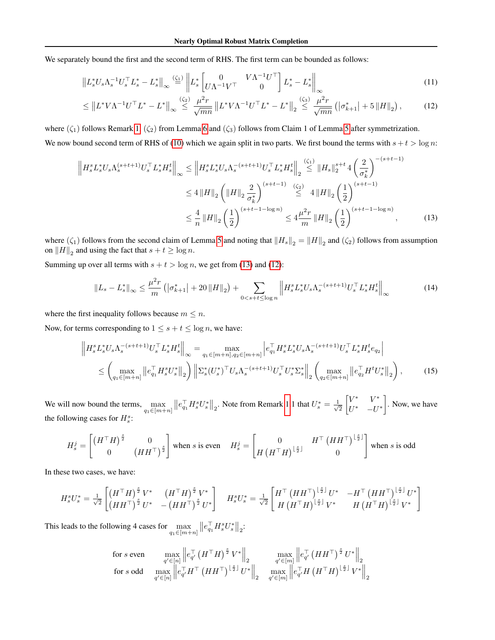We separately bound the first and the second term of RHS. The first term can be bounded as follows:

$$
\left\| L_s^* U_s \Lambda_s^{-1} U_s^\top L_s^* - L_s^* \right\|_{\infty} \stackrel{(\zeta_1)}{=} \left\| L_s^* \begin{bmatrix} 0 & V \Lambda^{-1} U^\top \\ U \Lambda^{-1} V^\top & 0 \end{bmatrix} L_s^* - L_s^* \right\|_{\infty}
$$
\n(11)

<span id="page-13-1"></span>
$$
\leq \left\| L^* V \Lambda^{-1} U^\top L^* - L^* \right\|_{\infty} \stackrel{\left(\zeta_2\right)}{\leq} \frac{\mu^2 r}{\sqrt{mn}} \left\| L^* V \Lambda^{-1} U^\top L^* - L^* \right\|_2 \stackrel{\left(\zeta_3\right)}{\leq} \frac{\mu^2 r}{\sqrt{mn}} \left( \left| \sigma_{k+1}^* \right| + 5 \left\| H \right\|_2 \right),\tag{12}
$$

where  $(\zeta_1)$  follows Remark [1,](#page-11-0)  $(\zeta_2)$  from Lemma [6](#page-10-1) and  $(\zeta_3)$  follows from Claim 1 of Lemma [5](#page-10-2) after symmetrization. We now bound second term of RHS of [\(10\)](#page-12-1) which we again split in two parts. We first bound the terms with  $s + t > \log n$ :

$$
\left\| H_s^s L_s^* U_s \Lambda_s^{(s+t+1)} U_s^\top L_s^* H_s^t \right\|_{\infty} \leq \left\| H_s^s L_s^* U_s \Lambda_s^{-(s+t+1)} U_s^\top L_s^* H_s^t \right\|_2 \stackrel{(\zeta_1)}{\leq} \left\| H_s \right\|_2^{s+t} 4 \left( \frac{2}{\sigma_k^*} \right)^{-(s+t-1)}
$$
  

$$
\leq 4 \left\| H \right\|_2 \left( \left\| H \right\|_2 \frac{2}{\sigma_k^*} \right)^{(s+t-1)} \stackrel{(\zeta_2)}{\leq} 4 \left\| H \right\|_2 \left( \frac{1}{2} \right)^{(s+t-1)}
$$
  

$$
\leq \frac{4}{n} \left\| H \right\|_2 \left( \frac{1}{2} \right)^{(s+t-1-\log n)} \leq 4 \frac{\mu^2 r}{m} \left\| H \right\|_2 \left( \frac{1}{2} \right)^{(s+t-1-\log n)}, \tag{13}
$$

where  $(\zeta_1)$  follows from the second claim of Lemma [5](#page-10-2) and noting that  $||H_s||_2 = ||H||_2$  and  $(\zeta_2)$  follows from assumption on  $||H||_2$  and using the fact that  $s + t \ge \log n$ .

Summing up over all terms with  $s + t > \log n$ , we get from [\(13\)](#page-13-0) and [\(12\)](#page-13-1):

<span id="page-13-3"></span><span id="page-13-2"></span><span id="page-13-0"></span>
$$
\|L_s - L_s^*\|_{\infty} \le \frac{\mu^2 r}{m} \left( |\sigma_{k+1}^*| + 20 \|H\|_2 \right) + \sum_{0 < s+t \le \log n} \left\| H_s^s L_s^* U_s \Lambda_s^{-(s+t+1)} U_s^\top L_s^* H_s^t \right\|_{\infty} \tag{14}
$$

where the first inequality follows because  $m \leq n$ .

Now, for terms corresponding to  $1 \leq s + t \leq \log n$ , we have:

$$
\left\| H_s^s L_s^* U_s \Lambda_s^{-(s+t+1)} U_s^\top L_s^* H_s^t \right\|_{\infty} = \max_{q_1 \in [m+n], q_2 \in [m+n]} \left| e_{q_1}^\top H_s^s L_s^* U_s \Lambda_s^{-(s+t+1)} U_s^\top L_s^* H_s^t e_{q_2} \right|
$$
  

$$
\leq \left( \max_{q_1 \in [m+n]} \left\| e_{q_1}^\top H_s^s U_s^* \right\|_2 \right) \left\| \Sigma_s^* (U_s^*)^\top U_s \Lambda_s^{-(s+t+1)} U_s^\top U_s^* \Sigma_s^* \right\|_2 \left( \max_{q_2 \in [m+n]} \left\| e_{q_2}^\top H^t U_s^* \right\|_2 \right), \tag{15}
$$

We will now bound the terms,  $\max_{q_1 \in [m+n]}$  $\left\|e_{q_1}^{\top}H_s^sU_s^*\right\|_2$ . Note from Remark [1.](#page-11-0)1 that  $U_s^*=\frac{1}{\sqrt{2}}$ 2  $\begin{bmatrix} V^* & V^* \end{bmatrix}$  $U^*$  –  $U^*$  . Now, we have the following cases for  $H_s^s$ :

$$
H_s^j = \begin{bmatrix} \left(H^\top H\right)^{\frac{s}{2}} & 0\\ 0 & \left(HH^\top\right)^{\frac{s}{2}} \end{bmatrix}
$$
 when  $s$  is even 
$$
H_s^j = \begin{bmatrix} 0 & H^\top \left(HH^\top\right)^{\lfloor \frac{s}{2} \rfloor}\\ H \left(H^\top H\right)^{\lfloor \frac{s}{2} \rfloor} & 0 \end{bmatrix}
$$
 when  $s$  is odd

In these two cases, we have:

$$
H_s^s U_s^* = \frac{1}{\sqrt{2}} \begin{bmatrix} \left(H^\top H\right)^{\frac{s}{2}} V^* & \left(H^\top H\right)^{\frac{s}{2}} V^* \\ \left(H H^\top\right)^{\frac{s}{2}} U^* & -\left(H H^\top\right)^{\frac{s}{2}} U^* \end{bmatrix} \quad H_s^s U_s^* = \frac{1}{\sqrt{2}} \begin{bmatrix} H^\top \left(H H^\top\right)^{\lfloor \frac{s}{2} \rfloor} U^* & -H^\top \left(H H^\top\right)^{\lfloor \frac{s}{2} \rfloor} U^* \\ H \left(H^\top H\right)^{\lfloor \frac{s}{2} \rfloor} V^* & H \left(H^\top H\right)^{\lfloor \frac{s}{2} \rfloor} V^* \end{bmatrix}
$$

This leads to the following 4 cases for  $\max_{q_1 \in [m+n]}$  $||e_{q_1}^{\top} H_s^s U_s^*||_2$ :

$$
\begin{array}{ll}\n\text{for } s \text{ even} & \max_{q' \in [n]} \left\| e_{q'}^\top \left( H^\top H \right)^{\frac{s}{2}} V^* \right\|_2 & \max_{q' \in [m]} \left\| e_{q'}^\top \left( H H^\top \right)^{\frac{s}{2}} U^* \right\|_2 \\
\text{for } s \text{ odd} & \max_{q' \in [n]} \left\| e_{q'}^\top H^\top \left( H H^\top \right)^{\lfloor \frac{s}{2} \rfloor} U^* \right\|_2 & \max_{q' \in [m]} \left\| e_{q'}^\top H \left( H^\top H \right)^{\lfloor \frac{s}{2} \rfloor} V^* \right\|_2\n\end{array}
$$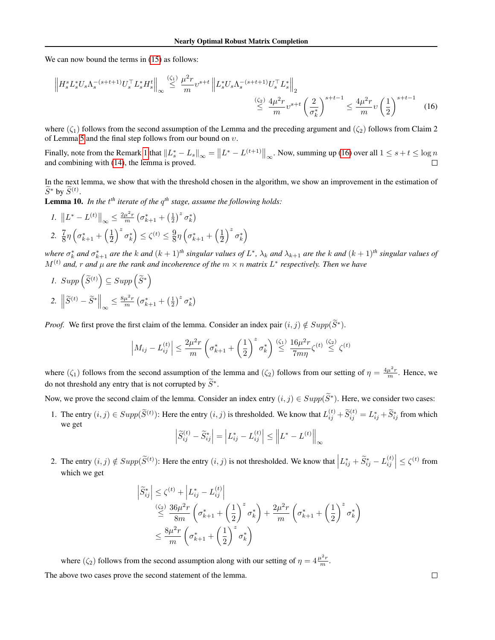We can now bound the terms in  $(15)$  as follows:

<span id="page-14-0"></span>
$$
\left\| H_s^s L_s^* U_s \Lambda_s^{-(s+t+1)} U_s^\top L_s^* H_s^t \right\|_{\infty} \stackrel{(\zeta_1)}{\leq} \frac{\mu^2 r}{m} v^{s+t} \left\| L_s^* U_s \Lambda_s^{-(s+t+1)} U_s^\top L_s^* \right\|_2
$$
  

$$
\stackrel{(\zeta_2)}{\leq} \frac{4\mu^2 r}{m} v^{s+t} \left( \frac{2}{\sigma_k^*} \right)^{s+t-1} \leq \frac{4\mu^2 r}{m} v \left( \frac{1}{2} \right)^{s+t-1} (16)
$$

where  $(\zeta_1)$  follows from the second assumption of the Lemma and the preceding argument and  $(\zeta_2)$  follows from Claim 2 of Lemma [5](#page-10-2) and the final step follows from our bound on  $v$ .

Finally, note from the Remark [1](#page-11-0) that  $||L_s^* - L_s||_{\infty} = ||L^* - L^{(t+1)}||_{\infty}$ . Now, summing up [\(16\)](#page-14-0) over all  $1 \le s + t \le \log n$ and combining with [\(14\)](#page-13-3), the lemma is proved. П

In the next lemma, we show that with the threshold chosen in the algorithm, we show an improvement in the estimation of  $\widetilde{S}^*$  by  $\widetilde{S}^{(t)}$ .

<span id="page-14-1"></span>Lemma 10. In the t<sup>th</sup> iterate of the  $q^{th}$  stage, assume the following holds:

1. 
$$
||L^* - L^{(t)}||_{\infty} \le \frac{2\mu^2 r}{m} \left(\sigma_{k+1}^* + \left(\frac{1}{2}\right)^z \sigma_k^*\right)
$$
  
\n2.  $\frac{7}{8}\eta \left(\sigma_{k+1}^* + \left(\frac{1}{2}\right)^z \sigma_k^*\right) \le \zeta^{(t)} \le \frac{9}{8}\eta \left(\sigma_{k+1}^* + \left(\frac{1}{2}\right)^z \sigma_k^*\right)$ 

where  $\sigma_k^*$  and  $\sigma_{k+1}^*$  are the k and  $(k+1)^{th}$  singular values of  $L^*$ ,  $\lambda_k$  and  $\lambda_{k+1}$  are the k and  $(k+1)^{th}$  singular values of  $M^{(t)}$  and, r and  $\mu$  are the rank and incoherence of the  $m \times n$  matrix  $L^*$  respectively. Then we have

1. 
$$
Supp\left(\widetilde{S}^{(t)}\right) \subseteq Supp\left(\widetilde{S}^*\right)
$$
  
2.  $\left\|\widetilde{S}^{(t)} - \widetilde{S}^*\right\|_{\infty} \le \frac{8\mu^2 r}{m}\left(\sigma_{k+1}^* + \left(\frac{1}{2}\right)^2 \sigma_k^*\right)$ 

*Proof.* We first prove the first claim of the lemma. Consider an index pair  $(i, j) \notin Supp(\widetilde{S}^*)$ .

$$
\left| M_{ij} - L_{ij}^{(t)} \right| \le \frac{2\mu^2 r}{m} \left( \sigma_{k+1}^* + \left( \frac{1}{2} \right)^z \sigma_k^* \right) \stackrel{(\zeta_1)}{\le} \frac{16\mu^2 r}{7m\eta} \zeta^{(t)} \stackrel{(\zeta_2)}{\le} \zeta^{(t)}
$$

where  $(\zeta_1)$  follows from the second assumption of the lemma and  $(\zeta_2)$  follows from our setting of  $\eta = \frac{4\mu^2 r}{m}$ . Hence, we do not threshold any entry that is not corrupted by  $\widetilde{S}^*$ .

Now, we prove the second claim of the lemma. Consider an index entry  $(i, j) \in Supp(\tilde{S}^*)$ . Here, we consider two cases:

1. The entry  $(i, j) \in Supp(\widetilde{S}^{(t)})$ : Here the entry  $(i, j)$  is thresholded. We know that  $L_{ij}^{(t)} + \widetilde{S}_{ij}^{(t)} = L_{ij}^* + \widetilde{S}_{ij}^*$  from which we get

$$
\left| \widetilde{S}_{ij}^{(t)} - \widetilde{S}_{ij}^* \right| = \left| L_{ij}^* - L_{ij}^{(t)} \right| \le \left\| L^* - L^{(t)} \right\|_{\infty}
$$

2. The entry  $(i, j) \notin Supp(\widetilde{S}^{(t)})$ : Here the entry  $(i, j)$  is not thresholded. We know that  $\left| L_{ij}^* + \widetilde{S}_{ij}^* - L_{ij}^{(t)} \right| \leq \zeta^{(t)}$  from which we get

$$
\begin{split} \left| \widetilde{S}_{ij}^* \right| &\leq \zeta^{(t)} + \left| L_{ij}^* - L_{ij}^{(t)} \right| \\ &\leq \frac{36\mu^2 r}{8m} \left( \sigma_{k+1}^* + \left( \frac{1}{2} \right)^z \sigma_k^* \right) + \frac{2\mu^2 r}{m} \left( \sigma_{k+1}^* + \left( \frac{1}{2} \right)^z \sigma_k^* \right) \\ &\leq \frac{8\mu^2 r}{m} \left( \sigma_{k+1}^* + \left( \frac{1}{2} \right)^z \sigma_k^* \right) \end{split}
$$

where  $(\zeta_2)$  follows from the second assumption along with our setting of  $\eta = 4 \frac{\mu^2 r}{m}$ . The above two cases prove the second statement of the lemma.

 $\Box$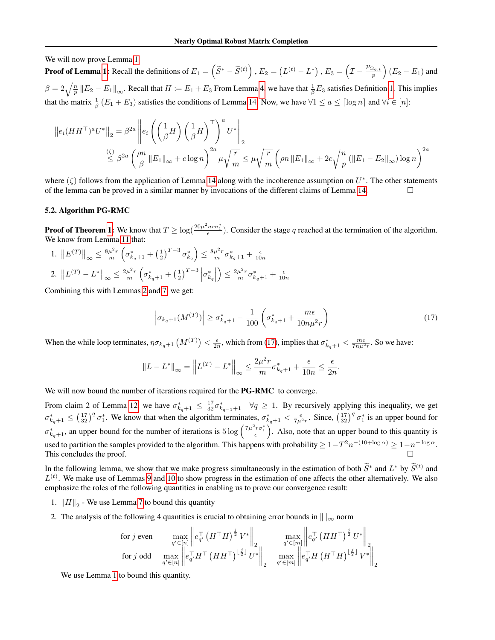We will now prove Lemma [1](#page-5-2)

**Proof of Lemma [1:](#page-5-2)** Recall the definitions of  $E_1 = (\tilde{S}^* - \tilde{S}^{(t)})$  ,  $E_2 = (L^{(t)} - L^*)$  ,  $E_3 = (I - \frac{\mathcal{P}_{\Omega_{q,t}}}{p}) (E_2 - E_1)$  and  $\beta = 2\sqrt{\frac{n}{p}} ||E_2 - E_1||_{\infty}$ . Recall that  $H \coloneqq E_1 + E_3$  From Lemma [4,](#page-9-2) we have that  $\frac{1}{\beta}E_3$  satisfies Definition [1.](#page-9-1) This implies that the matrix  $\frac{1}{\beta}(E_1 + E_3)$  satisfies the conditions of Lemma [14.](#page-22-0) Now, we have  $\forall 1 \le a \le [\log n]$  and  $\forall i \in [n]$ :

$$
||e_i(HH^\top)^a U^*||_2 = \beta^{2a} ||e_i \left( \left( \frac{1}{\beta} H \right) \left( \frac{1}{\beta} H \right)^\top \right)^a U^*||_2
$$
  

$$
\leq \beta^{2a} \left( \frac{\rho n}{\beta} ||E_1||_{\infty} + c \log n \right)^{2a} \mu \sqrt{\frac{r}{m}} \leq \mu \sqrt{\frac{r}{m}} \left( \rho n ||E_1||_{\infty} + 2c \sqrt{\frac{n}{p}} \left( ||E_1 - E_2||_{\infty} \right) \log n \right)^{2a}
$$

where  $(\zeta)$  follows from the application of Lemma [14](#page-22-0) along with the incoherence assumption on  $U^*$ . The other statements of the lemma can be proved in a similar manner by invocations of the different claims of Lemma [14.](#page-22-0)

#### 5.2. Algorithm PG-RMC

**Proof of Theorem [1:](#page-3-1)** We know that  $T \geq \log(\frac{20\mu^2 n r \sigma_1^*}{\epsilon})$ . Consider the stage q reached at the termination of the algorithm. We know from Lemma [11](#page-16-0) that:

1.  $||E^{(T)}||_{\infty} \leq \frac{8\mu^2 r}{m} \left(\sigma_{k_q+1}^* + \left(\frac{1}{2}\right)^{T-3} \sigma_{k_q}^*\right) \leq \frac{8\mu^2 r}{m} \sigma_{k_q+1}^* + \frac{\epsilon}{10n}$ 2.  $||L^{(T)} - L^*||_{\infty} \le \frac{2\mu^2 r}{m} \left(\sigma_{k_q+1}^* + \left(\frac{1}{2}\right)^{T-3} \left|\sigma_{k_q}^*\right|$  $\Big) \leq \frac{2\mu^2r}{m}\sigma_{k_q+1}^* + \frac{\epsilon}{10n}$ 

Combining this with Lemmas [2](#page-9-0) and [7,](#page-10-0) we get:

<span id="page-15-0"></span>
$$
\left| \sigma_{k_q+1}(M^{(T)}) \right| \ge \sigma_{k_q+1}^* - \frac{1}{100} \left( \sigma_{k_q+1}^* + \frac{m\epsilon}{10n\mu^2 r} \right) \tag{17}
$$

When the while loop terminates,  $\eta \sigma_{k_q+1}(M^{(T)}) < \frac{\epsilon}{2n}$ , which from [\(17\)](#page-15-0), implies that  $\sigma_{k_q+1}^* < \frac{m\epsilon}{7n\mu^2r}$ . So we have:

$$
\|L-L^*\|_\infty = \left\|L^{(T)}-L^*\right\|_\infty \leq \frac{2\mu^2r}{m}\sigma^*_{k_q+1} + \frac{\epsilon}{10n} \leq \frac{\epsilon}{2n}.
$$

We will now bound the number of iterations required for the **PG-RMC** to converge.

From claim 2 of Lemma [12,](#page-18-0) we have  $\sigma_{k_q+1}^* \leq \frac{17}{32} \sigma_{k_{q-1}+1}^* \quad \forall q \geq 1$ . By recursively applying this inequality, we get  $\sigma_{k_q+1}^* \leq (\frac{17}{32})^q \sigma_1^*$ . We know that when the algorithm terminates,  $\sigma_{k_q+1}^* < \frac{\epsilon}{7\mu^2 r}$ . Since,  $(\frac{17}{32})^q \sigma_1^*$  is an upper bound for  $\sigma_{k_q+1}^*$ , an upper bound for the number of iterations is  $5 \log \left( \frac{7\mu^2 r \sigma_1^*}{\epsilon} \right)$ . Also, note that an upper bound to this quantity is used to partition the samples provided to the algorithm. This happens with probability  $\geq 1-T^2n^{-(10+\log \alpha)} \geq 1-n^{-\log \alpha}$ . This concludes the proof.

In the following lemma, we show that we make progress simultaneously in the estimation of both  $\widetilde{S}^*$  and  $L^*$  by  $\widetilde{S}^{(t)}$  and  $\widetilde{L}^{(t)}$  $L^{(t)}$ . We make use of Lemmas [9](#page-12-0) and [10](#page-14-1) to show progress in the estimation of one affects the other alternatively. We also emphasize the roles of the following quantities in enabling us to prove our convergence result:

- 1.  $\|H\|_2$  We use Lemma [7](#page-10-0) to bound this quantity
- 2. The analysis of the following 4 quantities is crucial to obtaining error bounds in  $\|\|_{\infty}$  norm

$$
\begin{array}{ll}\n\text{for } j \text{ even} & \max_{q' \in [n]} \left\| e_{q'}^\top \left( H^\top H \right)^{\frac{j}{2}} V^* \right\|_2 & \max_{q' \in [m]} \left\| e_{q'}^\top \left( H H^\top \right)^{\frac{j}{2}} U^* \right\|_2 \\
\text{for } j \text{ odd} & \max_{q' \in [n]} \left\| e_{q'}^\top H^\top \left( H H^\top \right)^{\lfloor \frac{j}{2} \rfloor} U^* \right\|_2 & \max_{q' \in [m]} \left\| e_{q'}^\top H \left( H^\top H \right)^{\lfloor \frac{j}{2} \rfloor} V^* \right\|_2\n\end{array}
$$

We use Lemma [1](#page-5-2) to bound this quantity.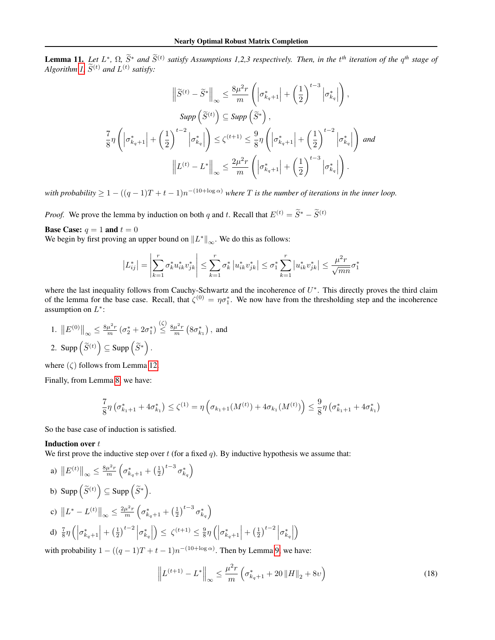<span id="page-16-0"></span>**Lemma 11.** Let  $L^*, \Omega, \widetilde{S}^*$  and  $\widetilde{S}^{(t)}$  satisfy Assumptions 1,2,3 respectively. Then, in the  $t^{th}$  iteration of the  $q^{th}$  stage of *Algorithm [1,](#page-3-2)*  $\widetilde{S}^{(t)}$  *and*  $L^{(t)}$  *satisfy:* 

$$
\left\|\tilde{S}^{(t)} - \tilde{S}^*\right\|_{\infty} \le \frac{8\mu^2 r}{m} \left( \left|\sigma_{k_q+1}^*\right| + \left(\frac{1}{2}\right)^{t-3} \left|\sigma_{k_q}^*\right| \right),
$$
  
\n
$$
\text{Supp}\left(\tilde{S}^{(t)}\right) \subseteq \text{Supp}\left(\tilde{S}^*\right),
$$
  
\n
$$
\frac{7}{8}\eta \left( \left|\sigma_{k_q+1}^*\right| + \left(\frac{1}{2}\right)^{t-2} \left|\sigma_{k_q}^*\right| \right) \le \zeta^{(t+1)} \le \frac{9}{8}\eta \left( \left|\sigma_{k_q+1}^*\right| + \left(\frac{1}{2}\right)^{t-2} \left|\sigma_{k_q}^*\right| \right) \text{ and}
$$
  
\n
$$
\left\| L^{(t)} - L^*\right\|_{\infty} \le \frac{2\mu^2 r}{m} \left( \left|\sigma_{k_q+1}^*\right| + \left(\frac{1}{2}\right)^{t-3} \left|\sigma_{k_q}^*\right| \right).
$$

*with probability*  $\geq 1 - ((q-1)T+t-1)n^{-(10+\log \alpha)}$  *where* T *is the number of iterations in the inner loop.* 

*Proof.* We prove the lemma by induction on both q and t. Recall that  $E^{(t)} = \widetilde{S}^* - \widetilde{S}^{(t)}$ 

**Base Case:**  $q = 1$  and  $t = 0$ 

We begin by first proving an upper bound on  $||L^*||_{\infty}$ . We do this as follows:

$$
\left| L_{ij}^* \right| = \left| \sum_{k=1}^r \sigma_k^* u_{ik}^* v_{jk}^* \right| \leq \sum_{k=1}^r \sigma_k^* \left| u_{ik}^* v_{jk}^* \right| \leq \sigma_1^* \sum_{k=1}^r \left| u_{ik}^* v_{jk}^* \right| \leq \frac{\mu^2 r}{\sqrt{mn}} \sigma_1^*
$$

where the last inequality follows from Cauchy-Schwartz and the incoherence of  $U^*$ . This directly proves the third claim of the lemma for the base case. Recall, that  $\zeta^{(0)} = \eta \sigma_1^*$ . We now have from the thresholding step and the incoherence assumption on  $L^*$ :

1.  $||E^{(0)}||_{\infty} \leq \frac{8\mu^2 r}{m} (\sigma_2^* + 2\sigma_1^*) \leq \frac{8\mu^2 r}{m} (8\sigma_{k_1}^*)$ , and 2. Supp  $(\widetilde{S}^{(t)}) \subseteq \text{Supp}(\widetilde{S}^*)$ .

where  $(\zeta)$  follows from Lemma [12.](#page-18-0)

Finally, from Lemma [8,](#page-11-1) we have:

$$
\frac{7}{8}\eta\left(\sigma_{k_1+1}^*+4\sigma_{k_1}^*\right) \le \zeta^{(1)} = \eta\left(\sigma_{k_1+1}(M^{(t)})+4\sigma_{k_1}(M^{(t)})\right) \le \frac{9}{8}\eta\left(\sigma_{k_1+1}^*+4\sigma_{k_1}^*\right)
$$

So the base case of induction is satisfied.

#### Induction over t

We first prove the inductive step over  $t$  (for a fixed  $q$ ). By inductive hypothesis we assume that:

a) 
$$
||E^{(t)}||_{\infty} \le \frac{8\mu^2 r}{m} \left(\sigma_{k_q+1}^* + \left(\frac{1}{2}\right)^{t-3} \sigma_{k_q}^*\right)
$$
  
\nb)  $\text{Supp}\left(\widetilde{S}^{(t)}\right) \subseteq \text{Supp}\left(\widetilde{S}^*\right).$   
\nc)  $||L^* - L^{(t)}||_{\infty} \le \frac{2\mu^2 r}{m} \left(\sigma_{k_q+1}^* + \left(\frac{1}{2}\right)^{t-3} \sigma_{k_q}^*\right)$   
\nd)  $\frac{7}{8} \eta \left(\left|\sigma_{k_q+1}^*\right| + \left(\frac{1}{2}\right)^{t-2} \left|\sigma_{k_q}^*\right|\right) \le \zeta^{(t+1)} \le \frac{9}{8} \eta \left(\left|\sigma_{k_q+1}^*\right| + \left(\frac{1}{2}\right)^{t-2} \left|\sigma_{k_q}^*\right|\right)$ 

with probability  $1 - ((q - 1)T + t - 1)n^{-(10 + \log \alpha)}$ . Then by Lemma [9,](#page-12-0) we have:

<span id="page-16-1"></span>
$$
\left\| L^{(t+1)} - L^* \right\|_{\infty} \le \frac{\mu^2 r}{m} \left( \sigma_{k_q + 1}^* + 20 \left\| H \right\|_2 + 8\upsilon \right) \tag{18}
$$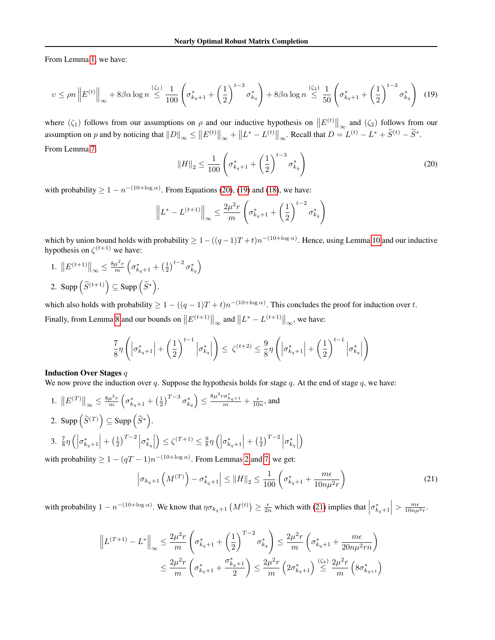From Lemma [1,](#page-5-2) we have:

<span id="page-17-1"></span>
$$
v \le \rho n \left\| E^{(t)} \right\|_{\infty} + 8\beta \alpha \log n \stackrel{(\zeta_1)}{\le} \frac{1}{100} \left( \sigma_{k_q+1}^* + \left( \frac{1}{2} \right)^{t-3} \sigma_{k_q}^* \right) + 8\beta \alpha \log n \stackrel{(\zeta_2)}{\le} \frac{1}{50} \left( \sigma_{k_q+1}^* + \left( \frac{1}{2} \right)^{t-3} \sigma_{k_q}^* \right) \tag{19}
$$

where  $(\zeta_1)$  follows from our assumptions on  $\rho$  and our inductive hypothesis on  $||E^{(t)}||_{\infty}$  and  $(\zeta_2)$  follows from our assumption on p and by noticing that  $||D||_{\infty} \le ||E^{(t)}||_{\infty} + ||L^* - L^{(t)}||_{\infty}$ . Recall that  $D = L^{(t)} - L^* + \widetilde{S}^{(t)} - \widetilde{S}^*$ . From Lemma [7:](#page-10-0)

<span id="page-17-0"></span>
$$
||H||_2 \le \frac{1}{100} \left( \sigma_{k_q+1}^* + \left(\frac{1}{2}\right)^{t-3} \sigma_{k_q}^* \right) \tag{20}
$$

with probability  $\geq 1 - n^{-(10 + \log \alpha)}$ . From Equations [\(20\)](#page-17-0), [\(19\)](#page-17-1) and [\(18\)](#page-16-1), we have:

$$
\left\| L^* - L^{(t+1)} \right\|_{\infty} \le \frac{2\mu^2 r}{m} \left( \sigma_{k_q+1}^* + \left( \frac{1}{2} \right)^{t-2} \sigma_{k_q}^* \right)
$$

which by union bound holds with probability  $\geq 1-((q-1)T+t)n^{-(10+\log \alpha)}$ . Hence, using Lemma [10](#page-14-1) and our inductive hypothesis on  $\zeta^{(t+1)}$  we have:

1.  $||E^{(t+1)}||_{\infty} \leq \frac{8\mu^2 r}{m} \left(\sigma_{k_q+1}^* + \left(\frac{1}{2}\right)^{t-2} \sigma_{k_q}^*\right)$ 2. Supp  $(\widetilde{S}^{(t+1)}) \subseteq \text{Supp } (\widetilde{S}^*)$ .

which also holds with probability  $\geq 1 - ((q-1)T+t)n^{-(10+\log \alpha)}$ . This concludes the proof for induction over t. Finally, from Lemma [8](#page-11-1) and our bounds on  $||E^{(t+1)}||_{\infty}$  and  $||L^* - L^{(t+1)}||_{\infty}$ , we have:

$$
\frac{7}{8}\eta\left(\left|\sigma_{k_q+1}^*\right|+\left(\frac{1}{2}\right)^{t-1}\left|\sigma_{k_q}^*\right|\right)\leq \zeta^{(t+2)}\leq \frac{9}{8}\eta\left(\left|\sigma_{k_q+1}^*\right|+\left(\frac{1}{2}\right)^{t-1}\left|\sigma_{k_q}^*\right|\right)
$$

#### Induction Over Stages q

We now prove the induction over q. Suppose the hypothesis holds for stage q. At the end of stage q, we have:

1.  $||E^{(T)}||_{\infty} \leq \frac{8\mu^2 r}{m} \left(\sigma_{k_q+1}^* + \left(\frac{1}{2}\right)^{T-3} \sigma_{k_q}^* \right) \leq \frac{8\mu^2 r \sigma_{k_q+1}^*}{m} + \frac{\epsilon}{10n}$ , and 2. Supp  $(\widetilde{S}^{(T)}) \subseteq \text{Supp } (\widetilde{S}^*)$ . 3.  $\frac{7}{8}\eta \left( \left| \sigma_{k_q+1}^{*} \right| + \left( \frac{1}{2} \right)^{T-2} \left| \sigma_{k_q}^{*} \right| \right)$  $\left( \frac{1}{2} \right) \leq \zeta^{(T+1)} \leq \frac{9}{8} \eta \left( \left| \sigma_{k_q+1}^* \right| + \left( \frac{1}{2} \right)^{T-2} \left| \sigma_{k_q}^* \right| \right)$  $\setminus$ 

with probability  $\geq 1 - (qT - 1)n^{-(10 + \log \alpha)}$ . From Lemmas [2](#page-9-0) and [7,](#page-10-0) we get:

<span id="page-17-2"></span>
$$
\left| \sigma_{k_q+1} \left( M^{(T)} \right) - \sigma_{k_q+1}^* \right| \le \| H \|_2 \le \frac{1}{100} \left( \sigma_{k_q+1}^* + \frac{m\epsilon}{10n\mu^2 r} \right) \tag{21}
$$

with probability  $1 - n^{-(10 + \log \alpha)}$ . We know that  $\eta \sigma_{k_q+1}(M^{(t)}) \ge \frac{\epsilon}{2n}$  which with [\(21\)](#page-17-2) implies that  $\left|\sigma_{k_q+1}^*\right| > \frac{m\epsilon}{10n\mu^2r}$ .

$$
\left\| L^{(T+1)} - L^* \right\|_{\infty} \le \frac{2\mu^2 r}{m} \left( \sigma_{k_q+1}^* + \left( \frac{1}{2} \right)^{T-2} \sigma_{k_q}^* \right) \le \frac{2\mu^2 r}{m} \left( \sigma_{k_q+1}^* + \frac{m\epsilon}{20n\mu^2 rn} \right)
$$
  

$$
\le \frac{2\mu^2 r}{m} \left( \sigma_{k_q+1}^* + \frac{\sigma_{k_q+1}^*}{2} \right) \le \frac{2\mu^2 r}{m} \left( 2\sigma_{k_q+1}^* \right) \stackrel{( \zeta_4)}{\le} \frac{2\mu^2 r}{m} \left( 8\sigma_{k_{q+1}}^* \right)
$$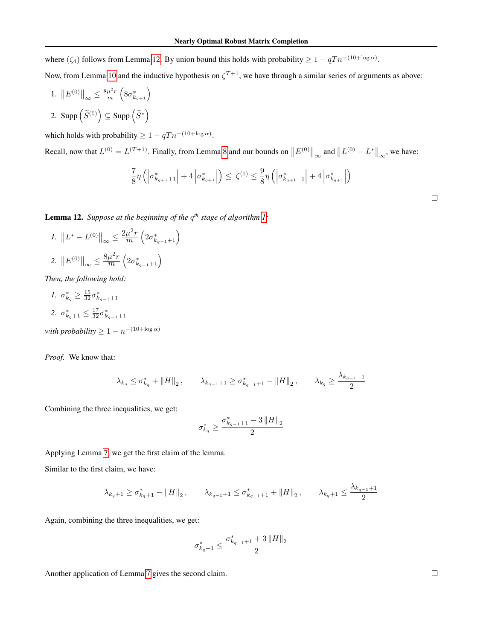where  $(\zeta_4)$  follows from Lemma [12.](#page-18-0) By union bound this holds with probability  $\geq 1 - qTn^{-(10 + \log \alpha)}$ .

Now, from Lemma [10](#page-14-1) and the inductive hypothesis on  $\zeta^{T+1}$ , we have through a similar series of arguments as above:

1.  $||E^{(0)}||_{\infty} \leq \frac{8\mu^2 r}{m} \left(8\sigma_{k_{q+1}}^*\right)$ 2. Supp  $(\widetilde{S}^{(0)}) \subseteq$  Supp  $(\widetilde{S}^*)$ 

which holds with probability  $\geq 1 - qT n^{-(10 + \log \alpha)}$ .

Recall, now that  $L^{(0)} = L^{(T+1)}$ . Finally, from Lemma [8](#page-11-1) and our bounds on  $||E^{(0)}||_{\infty}$  and  $||L^{(0)} - L^*||_{\infty}$ , we have:

$$
\frac{7}{8}\eta \left( \left| \sigma_{k_{q+1}+1}^* \right| + 4 \left| \sigma_{k_{q+1}}^* \right| \right) \leq \ \zeta^{(1)} \leq \frac{9}{8}\eta \left( \left| \sigma_{k_{q+1}+1}^* \right| + 4 \left| \sigma_{k_{q+1}}^* \right| \right)
$$

<span id="page-18-0"></span>Lemma 12. *Suppose at the beginning of the* q *th stage of algorithm [1:](#page-3-2)*

1. 
$$
||L^* - L^{(0)}||_{\infty} \le \frac{2\mu^2 r}{m} \left(2\sigma_{k_{q-1}+1}^*\right)
$$
  
2.  $||E^{(0)}||_{\infty} \le \frac{8\mu^2 r}{m} \left(2\sigma_{k_{q-1}+1}^*\right)$ 

*Then, the following hold:*

- *1.*  $\sigma_{k_q}^* \geq \frac{15}{32} \sigma_{k_{q-1}+1}^*$ 2.  $\sigma_{k_q+1}^* \leq \frac{17}{32} \sigma_{k_{q-1}+1}^*$
- *with probability*  $\geq 1 n^{-(10 + \log \alpha)}$

*Proof.* We know that:

$$
\lambda_{k_q} \leq \sigma_{k_q}^* + \|H\|_2 \,, \qquad \lambda_{k_{q-1}+1} \geq \sigma_{k_{q-1}+1}^* - \|H\|_2 \,, \qquad \lambda_{k_q} \geq \frac{\lambda_{k_{q-1}+1}}{2}
$$

Combining the three inequalities, we get:

$$
\sigma_{k_{q}}^{\ast}\geq\frac{\sigma_{k_{q-1}+1}^{\ast}-3\left\Vert H\right\Vert _{2}}{2}
$$

Applying Lemma [7,](#page-10-0) we get the first claim of the lemma.

Similar to the first claim, we have:

$$
\lambda_{k_q+1} \geq \sigma_{k_q+1}^* - \|H\|_2, \qquad \lambda_{k_{q-1}+1} \leq \sigma_{k_{q-1}+1}^* + \|H\|_2, \qquad \lambda_{k_q+1} \leq \frac{\lambda_{k_{q-1}+1}}{2}
$$

Again, combining the three inequalities, we get:

$$
\sigma_{k_{q}+1}^{*} \leq \frac{\sigma_{k_{q-1}+1}^{*}+3\left\|H\right\|_{2}}{2}
$$

Another application of Lemma [7](#page-10-0) gives the second claim.

 $\Box$ 

 $\Box$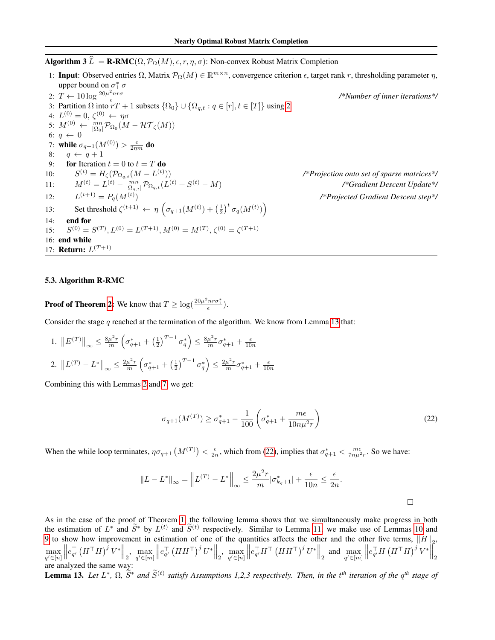## <span id="page-19-1"></span>**Algorithm 3**  $\widehat{L} = \textbf{R-RMC}(\Omega, \mathcal{P}_{\Omega}(M), \epsilon, r, \eta, \sigma)$ : Non-convex Robust Matrix Completion

1: Input: Observed entries  $\Omega$ , Matrix  $\mathcal{P}_{\Omega}(M) \in \mathbb{R}^{m \times n}$ , convergence criterion  $\epsilon$ , target rank r, thresholding parameter  $\eta$ , upper bound on  $\sigma_1^*$   $\sigma$ 2:  $T \leftarrow 10 \log \frac{20 \mu^2 n r \sigma}{\epsilon}$ 3: Partition  $\Omega$  into  $rT + 1$  subsets  $\{\Omega_0\} \cup \{\Omega_{q,t} : q \in [r], t \in [T]\}$  using [2](#page-3-3) */\*Number of inner iterations\*/* 4:  $L^{(0)}=0, \, \zeta^{(0)}\,\leftarrow\,\eta\sigma$ 5:  $M^{(0)} \leftarrow \frac{mn}{|\Omega_0|} \mathcal{P}_{\Omega_0}(M - \mathcal{HT}_{\zeta}(M))$ 6:  $q \leftarrow 0$ 7: while  $\sigma_{q+1}(M^{(0)})>\frac{\epsilon}{2\eta m}$  do 8:  $q \leftarrow q + 1$ 9: **for** Iteration  $t = 0$  to  $t = T$  do  $10:$  $\mathcal{H}^{(t)} = H_{\zeta}(\mathcal{P}_{\Omega_{q,t}}(M-L^{(t)})$ )) */\*Projection onto set of sparse matrices\*/* 11:  $M^{(t)} = L^{(t)} - \frac{mn}{|\Omega_{q,t}|} \mathcal{P}_{\Omega_{q,t}}(L^{(t)} + S)$ (t) − M) */\*Gradient Descent Update\*/*  $12:$  $L^{(t+1)} = P_q(M^{(t)})$ ) */\*Projected Gradient Descent step\*/* 13: Set threshold  $\zeta^{(t+1)} \leftarrow \eta \left( \sigma_{q+1}(M^{(t)}) + \left(\frac{1}{2}\right)^t \sigma_q(M^{(t)}) \right)$ 14: end for  $15:$  $(0) = S^{(T)}, L^{(0)} = L^{(T+1)}, M^{(0)} = M^{(T)}, \zeta^{(0)} = \zeta^{(T+1)}$ 16: end while 17: **Return:**  $L^{(T+1)}$ 

### <span id="page-19-0"></span>5.3. Algorithm R-RMC

**Proof of Theorem [2:](#page-3-4)** We know that  $T \geq \log(\frac{20\mu^2 n r \sigma_1^*}{\epsilon}).$ 

Consider the stage q reached at the termination of the algorithm. We know from Lemma [13](#page-19-2) that:

1.  $||E^{(T)}||_{\infty} \leq \frac{8\mu^2 r}{m} \left(\sigma_{q+1}^* + \left(\frac{1}{2}\right)^{T-1} \sigma_q^*\right) \leq \frac{8\mu^2 r}{m} \sigma_{q+1}^* + \frac{\epsilon}{10n}$ 2.  $||L^{(T)} - L^*||_{\infty} \leq \frac{2\mu^2 r}{m} \left(\sigma_{q+1}^* + \left(\frac{1}{2}\right)^{T-1} \sigma_q^*\right) \leq \frac{2\mu^2 r}{m} \sigma_{q+1}^* + \frac{\epsilon}{10n}$ 

Combining this with Lemmas [2](#page-9-0) and [7,](#page-10-0) we get:

<span id="page-19-3"></span>
$$
\sigma_{q+1}(M^{(T)}) \ge \sigma_{q+1}^* - \frac{1}{100} \left( \sigma_{q+1}^* + \frac{m\epsilon}{10n\mu^2 r} \right)
$$
\n(22)

When the while loop terminates,  $\eta \sigma_{q+1}(M^{(T)}) < \frac{\epsilon}{2n}$ , which from [\(22\)](#page-19-3), implies that  $\sigma_{q+1}^* < \frac{m\epsilon}{7n\mu^2r}$ . So we have:

$$
||L - L^*||_{\infty} = ||L^{(T)} - L^*||_{\infty} \le \frac{2\mu^2 r}{m} |\sigma_{k_q+1}^*| + \frac{\epsilon}{10n} \le \frac{\epsilon}{2n}.
$$

As in the case of the proof of Theorem [1,](#page-3-1) the following lemma shows that we simultaneously make progress in both the estimation of  $L^*$  and  $\widetilde{S}^*$  by  $L^{(t)}$  and  $\widetilde{S}^{(t)}$  respectively. Similar to Lemma [11,](#page-16-0) we make use of Lemmas [10](#page-14-1) and [9](#page-12-0) to show how improvement in estimation of one of the quantities affects the other and the other five terms,  $\|H\|_2$ ,  $\max_{q' \in [n]}$  $\left\| e^\top_{q'} \left( H^\top H \right)^j V^* \right\|_2, \ \max_{q' \in [m]}$  $\left\| e_{q'}^\top \left(H H^\top \right)^j U^* \right\|_2$ , max<br>  $_{q'\in [n]}$  $\left\| e_{q'}^\top H^\top \left( H H^\top \right)^j U^* \right\|_2$  and  $\max_{q' \in [m]}$  $\left\| e^\top_{q'} H \left( H^\top H \right)^j V^* \right\|_2$ are analyzed the same way:

<span id="page-19-2"></span>**Lemma 13.** Let  $L^*$ ,  $\Omega$ ,  $\tilde{S}^*$  and  $\tilde{S}^{(t)}$  satisfy Assumptions 1,2,3 respectively. Then, in the  $t^{th}$  iteration of the  $q^{th}$  stage of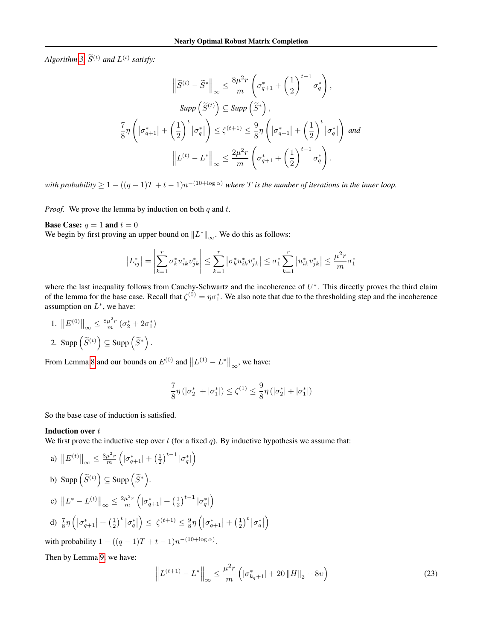*Algorithm* [3,](#page-19-1)  $\widetilde{S}^{(t)}$  *and*  $L^{(t)}$  *satisfy:* 

$$
\left\| \widetilde{S}^{(t)} - \widetilde{S}^* \right\|_{\infty} \le \frac{8\mu^2 r}{m} \left( \sigma_{q+1}^* + \left( \frac{1}{2} \right)^{t-1} \sigma_q^* \right),
$$
  
\n
$$
Supp \left( \widetilde{S}^{(t)} \right) \subseteq Supp \left( \widetilde{S}^* \right),
$$
  
\n
$$
\frac{7}{8} \eta \left( \left| \sigma_{q+1}^* \right| + \left( \frac{1}{2} \right)^t \left| \sigma_q^* \right| \right) \le \zeta^{(t+1)} \le \frac{9}{8} \eta \left( \left| \sigma_{q+1}^* \right| + \left( \frac{1}{2} \right)^t \left| \sigma_q^* \right| \right) \text{ and }
$$
  
\n
$$
\left\| L^{(t)} - L^* \right\|_{\infty} \le \frac{2\mu^2 r}{m} \left( \sigma_{q+1}^* + \left( \frac{1}{2} \right)^{t-1} \sigma_q^* \right).
$$

*with probability*  $\geq 1 - ((q-1)T+t-1)n^{-(10+\log \alpha)}$  *where* T *is the number of iterations in the inner loop.* 

*Proof.* We prove the lemma by induction on both  $q$  and  $t$ .

**Base Case:**  $q = 1$  and  $t = 0$ 

We begin by first proving an upper bound on  $||L^*||_{\infty}$ . We do this as follows:

$$
|L_{ij}^*| = \left| \sum_{k=1}^r \sigma_k^* u_{ik}^* v_{jk}^* \right| \le \sum_{k=1}^r |\sigma_k^* u_{ik}^* v_{jk}^*| \le \sigma_1^* \sum_{k=1}^r |u_{ik}^* v_{jk}^*| \le \frac{\mu^2 r}{m} \sigma_1^*
$$

where the last inequality follows from Cauchy-Schwartz and the incoherence of  $U^*$ . This directly proves the third claim of the lemma for the base case. Recall that  $\zeta^{(0)} = \eta \sigma_1^*$ . We also note that due to the thresholding step and the incoherence assumption on  $L^*$ , we have:

1.  $||E^{(0)}||_{\infty} \leq \frac{8\mu^2 r}{m} (\sigma_2^* + 2\sigma_1^*)$ 2. Supp  $(\widetilde{S}^{(t)}) \subseteq \text{Supp}(\widetilde{S}^*)$ .

From Lemma [8](#page-11-1) and our bounds on  $E^{(0)}$  and  $||L^{(1)} - L^*||_{\infty}$ , we have:

$$
\frac{7}{8}\eta\left(|\sigma_2^*|+|\sigma_1^*|\right)\leq \zeta^{(1)}\leq \frac{9}{8}\eta\left(|\sigma_2^*|+|\sigma_1^*|\right)
$$

So the base case of induction is satisfied.

## Induction over t

We first prove the inductive step over  $t$  (for a fixed  $q$ ). By inductive hypothesis we assume that:

a) 
$$
||E^{(t)}||_{\infty} \le \frac{8\mu^2 r}{m} \left( |\sigma_{q+1}^*| + (\frac{1}{2})^{t-1} |\sigma_q^*| \right)
$$
  
\nb) 
$$
\text{Supp} \left( \widetilde{S}^{(t)} \right) \subseteq \text{Supp} \left( \widetilde{S}^* \right).
$$
  
\nc) 
$$
||L^* - L^{(t)}||_{\infty} \le \frac{2\mu^2 r}{m} \left( |\sigma_{q+1}^*| + (\frac{1}{2})^{t-1} |\sigma_q^*| \right)
$$
  
\nd) 
$$
\frac{7}{8} \eta \left( |\sigma_{q+1}^*| + (\frac{1}{2})^t |\sigma_q^*| \right) \le \zeta^{(t+1)} \le \frac{9}{8} \eta \left( |\sigma_{q+1}^*| + (\frac{1}{2})^t |\sigma_q^*| \right)
$$

with probability  $1 - ((q - 1)T + t - 1)n^{-(10 + \log \alpha)}$ .

Then by Lemma [9,](#page-12-0) we have:

<span id="page-20-0"></span>
$$
\left\| L^{(t+1)} - L^* \right\|_{\infty} \le \frac{\mu^2 r}{m} \left( |\sigma_{k_q+1}^*| + 20 \|H\|_2 + 8\upsilon \right)
$$
 (23)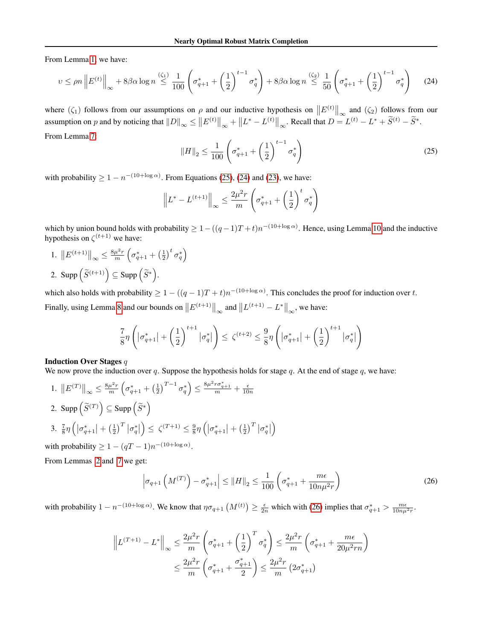From Lemma [1,](#page-5-2) we have:

<span id="page-21-1"></span>
$$
v \le \rho n \left\| E^{(t)} \right\|_{\infty} + 8\beta \alpha \log n \stackrel{( \zeta_1 )}{\le} \frac{1}{100} \left( \sigma_{q+1}^{*} + \left( \frac{1}{2} \right)^{t-1} \sigma_q^{*} \right) + 8\beta \alpha \log n \stackrel{( \zeta_2 )}{\le} \frac{1}{50} \left( \sigma_{q+1}^{*} + \left( \frac{1}{2} \right)^{t-1} \sigma_q^{*} \right) \tag{24}
$$

where  $(\zeta_1)$  follows from our assumptions on  $\rho$  and our inductive hypothesis on  $||E^{(t)}||_{\infty}$  and  $(\zeta_2)$  follows from our assumption on p and by noticing that  $||D||_{\infty} \le ||E^{(t)}||_{\infty} + ||L^* - L^{(t)}||_{\infty}$ . Recall that  $D = L^{(t)} - L^* + \widetilde{S}^{(t)} - \widetilde{S}^*$ . From Lemma [7:](#page-10-0)

<span id="page-21-0"></span>
$$
||H||_2 \le \frac{1}{100} \left( \sigma_{q+1}^* + \left(\frac{1}{2}\right)^{t-1} \sigma_q^* \right) \tag{25}
$$

with probability  $\geq 1 - n^{-(10 + \log \alpha)}$ . From Equations [\(25\)](#page-21-0), [\(24\)](#page-21-1) and [\(23\)](#page-20-0), we have:

$$
\left\| L^* - L^{(t+1)} \right\|_{\infty} \le \frac{2\mu^2 r}{m} \left( \sigma_{q+1}^* + \left( \frac{1}{2} \right)^t \sigma_q^* \right)
$$

which by union bound holds with probability  $\geq 1-((q-1)T+t)n^{-(10+\log \alpha)}$ . Hence, using Lemma [10](#page-14-1) and the inductive hypothesis on  $\zeta^{(t+1)}$  we have:

1.  $||E^{(t+1)}||_{\infty} \leq \frac{8\mu^2 r}{m} \left(\sigma_{q+1}^* + \left(\frac{1}{2}\right)^t \sigma_q^*\right)$ 2. Supp  $(\widetilde{S}^{(t+1)}) \subseteq \text{Supp } (\widetilde{S}^*)$ .

which also holds with probability  $\geq 1 - ((q-1)T+t)n^{-(10+\log \alpha)}$ . This concludes the proof for induction over t. Finally, using Lemma [8](#page-11-1) and our bounds on  $||E^{(t+1)}||_{\infty}$  and  $||L^{(t+1)} - L^*||_{\infty}$ , we have:

$$
\frac{7}{8}\eta\left(\left|\sigma_{q+1}^*\right|+\left(\frac{1}{2}\right)^{t+1}\left|\sigma_q^*\right|\right)\leq \zeta^{(t+2)}\leq \frac{9}{8}\eta\left(\left|\sigma_{q+1}^*\right|+\left(\frac{1}{2}\right)^{t+1}\left|\sigma_q^*\right|\right)
$$

#### Induction Over Stages q

We now prove the induction over q. Suppose the hypothesis holds for stage q. At the end of stage q, we have:

1.  $||E^{(T)}||_{\infty} \leq \frac{8\mu^2 r}{m} \left(\sigma_{q+1}^* + \left(\frac{1}{2}\right)^{T-1} \sigma_q^*\right) \leq \frac{8\mu^2 r \sigma_{q+1}^*}{m} + \frac{\epsilon}{10n}$ 2. Supp  $(\widetilde{S}^{(T)}) \subseteq \text{Supp}(\widetilde{S}^*)$ 3.  $\frac{7}{8}\eta\left(\left|\sigma_{q+1}^*\right|+\left(\frac{1}{2}\right)^T\left|\sigma_{q}^*\right|\right)$  $\left(\left|\sigma_{q+1}^{(T+1)}\right|\leq \frac{9}{8}\eta\left(\left|\sigma_{q+1}^{*}\right|+\left(\frac{1}{2}\right)^{T}\left|\sigma_{q}^{*}\right|\right)\right)$  $\setminus$ 

with probability  $\geq 1 - (qT - 1)n^{-(10 + \log \alpha)}$ .

From Lemmas [2](#page-9-0) and [7](#page-10-0) we get:

<span id="page-21-2"></span>
$$
\left|\sigma_{q+1}\left(M^{(T)}\right) - \sigma_{q+1}^{*}\right| \leq \|H\|_{2} \leq \frac{1}{100} \left(\sigma_{q+1}^{*} + \frac{m\epsilon}{10n\mu^{2}r}\right)
$$
\n(26)

with probability  $1 - n^{-(10 + \log \alpha)}$ . We know that  $\eta \sigma_{q+1}(M^{(t)}) \ge \frac{\epsilon}{2n}$  which with [\(26\)](#page-21-2) implies that  $\sigma_{q+1}^* > \frac{m\epsilon}{10n\mu^2r}$ .

$$
\left\| L^{(T+1)} - L^* \right\|_{\infty} \le \frac{2\mu^2 r}{m} \left( \sigma_{q+1}^* + \left( \frac{1}{2} \right)^T \sigma_q^* \right) \le \frac{2\mu^2 r}{m} \left( \sigma_{q+1}^* + \frac{m\epsilon}{20\mu^2 rn} \right)
$$
  

$$
\le \frac{2\mu^2 r}{m} \left( \sigma_{q+1}^* + \frac{\sigma_{q+1}^*}{2} \right) \le \frac{2\mu^2 r}{m} \left( 2\sigma_{q+1}^* \right)
$$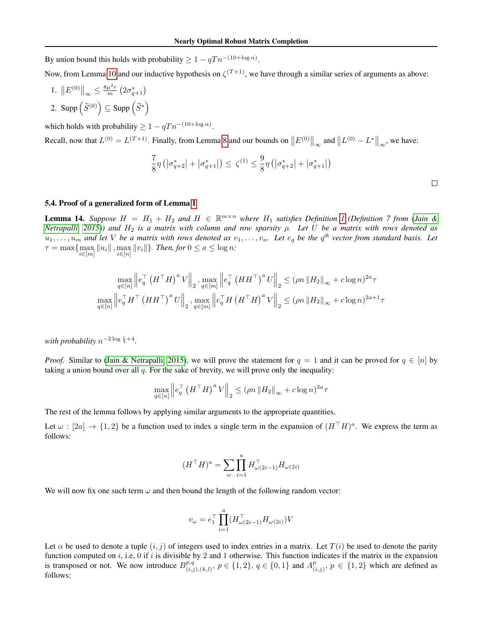By union bound this holds with probability  $\geq 1 - qT n^{-(10 + \log \alpha)}$ .

Now, from Lemma [10](#page-14-1) and our inductive hypothesis on  $\zeta^{(T+1)}$ , we have through a similar series of arguments as above:

1.  $||E^{(0)}||_{\infty} \leq \frac{8\mu^2 r}{m} (2\sigma_{q+1}^*)$ 2. Supp  $(\widetilde{S}^{(0)}) \subseteq$  Supp  $(\widetilde{S}^*)$ 

which holds with probability  $\geq 1 - qT n^{-(10 + \log \alpha)}$ .

Recall, now that  $L^{(0)} = L^{(T+1)}$ . Finally, from Lemma [8](#page-11-1) and our bounds on  $||E^{(0)}||_{\infty}$  and  $||L^{(0)} - L^*||_{\infty}$ , we have:

$$
\frac{7}{8}\eta \left( \left| \sigma _{q+2}^* \right| + \left| \sigma _{q+1}^* \right| \right) \le \ \zeta ^{(1)} \le \frac{9}{8}\eta \left( \left| \sigma _{q+2}^* \right| + \left| \sigma _{q+1}^* \right| \right)
$$

 $\Box$ 

### 5.4. Proof of a generalized form of Lemma [1](#page-5-2)

<span id="page-22-0"></span>**Lemma [1](#page-9-1)4.** Suppose  $H = H_1 + H_2$  and  $H \in \mathbb{R}^{m \times n}$  where  $H_1$  satisfies Definition 1 (Definition 7 from [\(Jain &](#page-8-6) *[Netrapalli, 2015\)](#page-8-6)) and* H<sup>2</sup> *is a matrix with column and row sparsity* ρ*. Let* U *be a matrix with rows denoted as*  $u_1, \ldots, u_m$  and let V be a matrix with rows denoted as  $v_1, \ldots, v_n$ . Let  $e_q$  be the  $q^{th}$  vector from standard basis. Let  $\tau = \max \{ \max_{i \in [m]} \|u_i\|, \max_{i \in [n]} \|v_i\| \}.$  Then, for  $0 \le a \le \log n$ :

$$
\max_{q \in [n]} \left\| e_q^\top \left( H^\top H \right)^a V \right\|_2, \max_{q \in [m]} \left\| e_q^\top \left( H H^\top \right)^a U \right\|_2 \le (\rho n \left\| H_2 \right\|_\infty + c \log n)^{2a} \tau
$$
  

$$
\max_{q \in [n]} \left\| e_q^\top H^\top \left( H H^\top \right)^a U \right\|_2, \max_{q \in [m]} \left\| e_q^\top H \left( H^\top H \right)^a V \right\|_2 \le (\rho n \left\| H_2 \right\|_\infty + c \log n)^{2a+1} \tau
$$

*with probability*  $n^{-2 \log \frac{c}{4} + 4}$ .

*Proof.* Similar to [\(Jain & Netrapalli, 2015\)](#page-8-6), we will prove the statement for  $q = 1$  and it can be proved for  $q \in [n]$  by taking a union bound over all  $q$ . For the sake of brevity, we will prove only the inequality:

$$
\max_{q \in [n]} \left\| e_q^\top \left( H^\top H \right)^a V \right\|_2 \leq (\rho n \left\| H_2 \right\|_\infty + c \log n)^{2a} \tau
$$

The rest of the lemma follows by applying similar arguments to the appropriate quantities.

Let  $\omega : [2a] \to \{1,2\}$  be a function used to index a single term in the expansion of  $(H<sup>T</sup>H)^a$ . We express the term as follows:

$$
(H^\top H)^a = \sum_{\omega} \prod_{i=1}^a H_{\omega(2i-1)}^\top H_{\omega(2i)}
$$

We will now fix one such term  $\omega$  and then bound the length of the following random vector:

$$
v_\omega=e_1^\top\prod_{i=1}^a(H_{\omega(2i-1)}^\top H_{\omega(2i)})V
$$

Let  $\alpha$  be used to denote a tuple  $(i, j)$  of integers used to index entries in a matrix. Let  $T(i)$  be used to denote the parity function computed on  $i$ , i.e, 0 if  $i$  is divisible by 2 and 1 otherwise. This function indicates if the matrix in the expansion is transposed or not. We now introduce  $B^{p,q}_{(i)}$  $\{ (i,j),(k,l), p \in \{1,2\}, q \in \{0,1\} \text{ and } A_{(k,l)}^p$  $\{ (i,j), p \in \{1,2\} \text{ which are defined as }$ follows: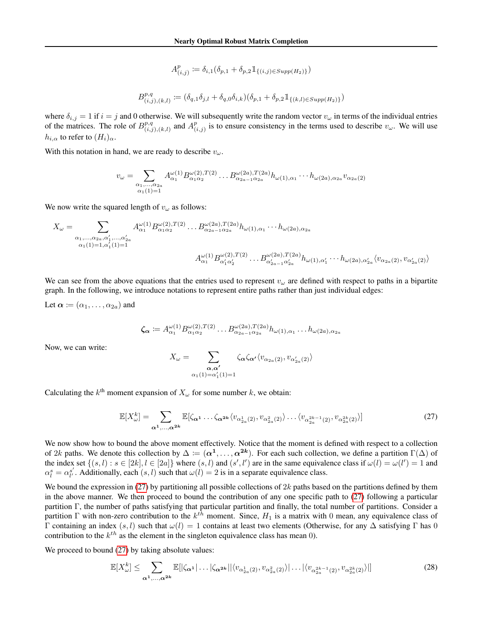$$
A_{(i,j)}^p := \delta_{i,1}(\delta_{p,1} + \delta_{p,2} 1\!\!1_{\{(i,j)\in Supp(H_2)\}})
$$
  

$$
B_{(i,j),(k,l)}^{p,q} := (\delta_{q,1}\delta_{j,l} + \delta_{q,0}\delta_{i,k})(\delta_{p,1} + \delta_{p,2} 1\!\!1_{\{(k,l)\in Supp(H_2)\}})
$$

where  $\delta_{i,j} = 1$  if  $i = j$  and 0 otherwise. We will subsequently write the random vector  $v_\omega$  in terms of the individual entries of the matrices. The role of  $B^{p,q}_{(q,q)}$  $_{(i,j),(k,l)}^{p,q}$  and  $A_{(i)}^p$  $\binom{p}{(i,j)}$  is to ensure consistency in the terms used to describe  $v_\omega$ . We will use  $h_{i,\alpha}$  to refer to  $(H_i)_{\alpha}$ .

With this notation in hand, we are ready to describe  $v_{\omega}$ .

$$
v_{\omega} = \sum_{\substack{\alpha_1, \dots, \alpha_{2a} \\ \alpha_1(1) = 1}} A_{\alpha_1}^{\omega(1)} B_{\alpha_1 \alpha_2}^{\omega(2), T(2)} \dots B_{\alpha_{2a-1} \alpha_{2a}}^{\omega(2a), T(2a)} h_{\omega(1), \alpha_1} \dots h_{\omega(2a), \alpha_{2a}} v_{\alpha_{2a}(2)}
$$

We now write the squared length of  $v_\omega$  as follows:

$$
X_{\omega} = \sum_{\substack{\alpha_1, \dots, \alpha_{2a}, \alpha'_1, \dots, \alpha'_{2a} \\ \alpha_1(1) = 1, \alpha'_1(1) = 1}} A_{\alpha_1}^{\omega(1)} B_{\alpha_1 \alpha_2}^{\omega(2), T(2)} \dots B_{\alpha_{2a-1} \alpha_{2a}}^{\omega(2a), T(2a)} h_{\omega(1), \alpha_1} \dots h_{\omega(2a), \alpha_{2a}} \dots
$$
  

$$
A_{\alpha_1}^{\omega(1)} B_{\alpha'_1 \alpha'_2}^{\omega(2), T(2)} \dots B_{\alpha'_{2a-1} \alpha'_{2a}}^{\omega(2a), T(2a)} h_{\omega(1), \alpha'_1} \dots h_{\omega(2a), \alpha'_{2a}} \langle v_{\alpha_{2a}(2)}, v_{\alpha'_{2a}(2)} \rangle
$$

We can see from the above equations that the entries used to represent  $v_\omega$  are defined with respect to paths in a bipartite graph. In the following, we introduce notations to represent entire paths rather than just individual edges:

Let  $\alpha := (\alpha_1, \ldots, \alpha_{2a})$  and

$$
\zeta_{\alpha} := A_{\alpha_1}^{\omega(1)} B_{\alpha_1 \alpha_2}^{\omega(2), T(2)} \dots B_{\alpha_{2a-1} \alpha_{2a}}^{\omega(2a), T(2a)} h_{\omega(1), \alpha_1} \dots h_{\omega(2a), \alpha_{2a}}
$$

Now, we can write:

$$
X_{\omega} = \sum_{\substack{\boldsymbol{\alpha}, \boldsymbol{\alpha'} \\ \alpha_1(1) = \alpha'_1(1) = 1}} \zeta_{\boldsymbol{\alpha}} \zeta_{\boldsymbol{\alpha'}} \langle v_{\alpha_{2a}(2)}, v_{\alpha'_{2a}(2)} \rangle
$$

Calculating the  $k^{\text{th}}$  moment expansion of  $X_{\omega}$  for some number k, we obtain:

<span id="page-23-0"></span>
$$
\mathbb{E}[X_{\omega}^k] = \sum_{\alpha^1,\ldots,\alpha^{2k}} \mathbb{E}[\zeta_{\alpha^1}\ldots\zeta_{\alpha^{2k}} \langle v_{\alpha^1_{2a}(2)}, v_{\alpha^2_{2a}(2)} \rangle \ldots \langle v_{\alpha^{2k-1}_{2a}(2)}, v_{\alpha^{2k}_{2a}(2)} \rangle] \tag{27}
$$

We now show how to bound the above moment effectively. Notice that the moment is defined with respect to a collection of 2k paths. We denote this collection by  $\Delta := (\alpha^1, \dots, \alpha^{2k})$ . For each such collection, we define a partition  $\Gamma(\Delta)$  of the index set  $\{(s, l) : s \in [2k], l \in [2a]\}$  where  $(s, l)$  and  $(s', l')$  are in the same equivalence class if  $\omega(l) = \omega(l') = 1$  and  $\alpha_l^s = \alpha_{l'}^{s'}$ . Additionally, each  $(s, l)$  such that  $\omega(l) = 2$  is in a separate equivalence class.

We bound the expression in [\(27\)](#page-23-0) by partitioning all possible collections of  $2k$  paths based on the partitions defined by them in the above manner. We then proceed to bound the contribution of any one specific path to [\(27\)](#page-23-0) following a particular partition Γ, the number of paths satisfying that particular partition and finally, the total number of partitions. Consider a partition  $\Gamma$  with non-zero contribution to the  $k^{th}$  moment. Since,  $H_1$  is a matrix with 0 mean, any equivalence class of Γ containing an index (s, l) such that  $ω(l) = 1$  contains at least two elements (Otherwise, for any  $Δ$  satisfying Γ has 0 contribution to the  $k^{th}$  as the element in the singleton equivalence class has mean 0).

We proceed to bound [\(27\)](#page-23-0) by taking absolute values:

<span id="page-23-1"></span>
$$
\mathbb{E}[X_{\omega}^k] \leq \sum_{\alpha^1,\ldots,\alpha^{2k}} \mathbb{E}[|\zeta_{\alpha^1}| \ldots |\zeta_{\alpha^{2k}}| |\langle v_{\alpha^1_{2a}(2)}, v_{\alpha^2_{2a}(2)} \rangle| \ldots |\langle v_{\alpha^{2k-1}_{2a}(2)}, v_{\alpha^{2k}_{2a}(2)} \rangle|]
$$
(28)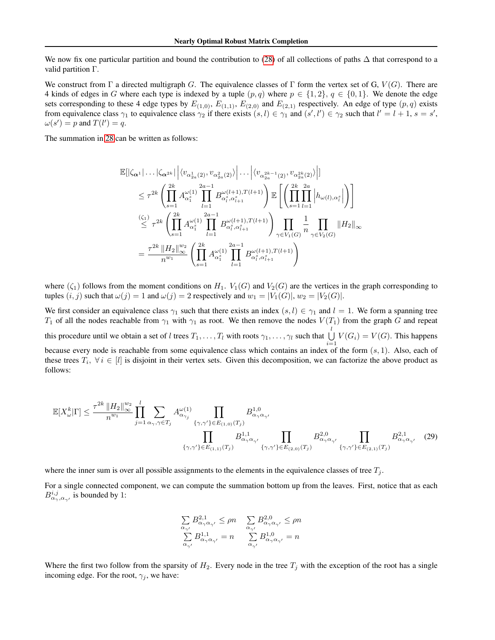We now fix one particular partition and bound the contribution to [\(28\)](#page-23-1) of all collections of paths  $\Delta$  that correspond to a valid partition Γ.

We construct from Γ a directed multigraph G. The equivalence classes of Γ form the vertex set of G,  $V(G)$ . There are 4 kinds of edges in G where each type is indexed by a tuple  $(p,q)$  where  $p \in \{1,2\}$ ,  $q \in \{0,1\}$ . We denote the edge sets corresponding to these 4 edge types by  $E_{(1,0)}$ ,  $E_{(1,1)}$ ,  $E_{(2,0)}$  and  $E_{(2,1)}$  respectively. An edge of type  $(p,q)$  exists from equivalence class  $\gamma_1$  to equivalence class  $\gamma_2$  if there exists  $(s, l) \in \gamma_1$  and  $(s', l') \in \gamma_2$  such that  $l' = l + 1$ ,  $s = s'$ ,  $\omega(s') = p$  and  $T(l') = q$ .

The summation in [28](#page-23-1) can be written as follows:

$$
\mathbb{E}[|\zeta_{\alpha^1}| \dots |\zeta_{\alpha^{2k}}| \left| \langle v_{\alpha^1_{2a}(2)}, v_{\alpha^2_{2a}(2)} \rangle \right| \dots \left| \langle v_{\alpha^{2k-1}_{2a}(2)}, v_{\alpha^{2k}_{2a}(2)} \rangle \right|]
$$
\n
$$
\leq \tau^{2k} \left( \prod_{s=1}^{2k} A^{\omega(1)}_{\alpha_1^s} \prod_{l=1}^{2a-1} B^{\omega(l+1), T(l+1)}_{\alpha_i^s, \alpha_{l+1}^s} \right) \mathbb{E} \left[ \left( \prod_{s=1}^{2k} \prod_{l=1}^{2a} \left| h_{\omega(l), \alpha_i^s} \right| \right) \right]
$$
\n
$$
\stackrel{(\zeta_1)}{\leq} \tau^{2k} \left( \prod_{s=1}^{2k} A^{\omega(1)}_{\alpha_1^s} \prod_{l=1}^{2a-1} B^{\omega(l+1), T(l+1)}_{\alpha_i^s, \alpha_{l+1}^s} \right) \prod_{\gamma \in V_1(G)} \frac{1}{n} \prod_{\gamma \in V_2(G)} \|H_2\|_{\infty}
$$
\n
$$
= \frac{\tau^{2k} \|H_2\|_{\infty}^{w_2}}{n^{w_1}} \left( \prod_{s=1}^{2k} A^{\omega(1)}_{\alpha_1^s} \prod_{l=1}^{2a-1} B^{\omega(l+1), T(l+1)}_{\alpha_i^s, \alpha_{l+1}^s} \right)
$$

where  $(\zeta_1)$  follows from the moment conditions on  $H_1$ .  $V_1(G)$  and  $V_2(G)$  are the vertices in the graph corresponding to tuples  $(i, j)$  such that  $\omega(j) = 1$  and  $\omega(j) = 2$  respectively and  $w_1 = |V_1(G)|$ ,  $w_2 = |V_2(G)|$ .

We first consider an equivalence class  $\gamma_1$  such that there exists an index  $(s, l) \in \gamma_1$  and  $l = 1$ . We form a spanning tree  $T_1$  of all the nodes reachable from  $\gamma_1$  with  $\gamma_1$  as root. We then remove the nodes  $V(T_1)$  from the graph G and repeat this procedure until we obtain a set of l trees  $T_1, \ldots, T_l$  with roots  $\gamma_1, \ldots, \gamma_l$  such that  $\bigcup^l V(G_i) = V(G)$ . This happens because every node is reachable from some equivalence class which contains an index of the form  $(s, 1)$ . Also, each of these trees  $T_i$ ,  $\forall i \in [l]$  is disjoint in their vertex sets. Given this decomposition, we can factorize the above product as follows:

$$
\mathbb{E}[X_{\omega}^{k}|\Gamma] \leq \frac{\tau^{2k} \|H_2\|_{\infty}^{w_2}}{n^{w_1}} \prod_{j=1}^{l} \sum_{\alpha_{\gamma},\gamma \in T_j} A_{\alpha_{\gamma_j}}^{\omega(1)} \prod_{\{\gamma,\gamma'\} \in E_{(1,0)}(T_j)} B_{\alpha_{\gamma}\alpha_{\gamma'}}^{1,0}
$$
\n
$$
\prod_{\{\gamma,\gamma'\} \in E_{(1,1)}(T_j)} B_{\alpha_{\gamma}\alpha_{\gamma'}}^{1,1} \prod_{\{\gamma,\gamma'\} \in E_{(2,0)}(T_j)} B_{\alpha_{\gamma}\alpha_{\gamma'}}^{2,0} \prod_{\{\gamma,\gamma'\} \in E_{(2,1)}(T_j)} B_{\alpha_{\gamma}\alpha_{\gamma'}}^{2,1} (29)
$$

where the inner sum is over all possible assignments to the elements in the equivalence classes of tree  $T_j$ .

For a single connected component, we can compute the summation bottom up from the leaves. First, notice that as each  $B^{i,j}_{\alpha_{\gamma},\alpha_{\gamma'}}$  is bounded by 1:

<span id="page-24-0"></span>
$$
\sum_{\substack{\alpha_{\gamma'}\\\sum}} B_{\alpha_{\gamma}\alpha_{\gamma'}}^{2,1} \le \rho n \quad \sum_{\substack{\alpha_{\gamma'}\\\alpha_{\gamma'}}} B_{\alpha_{\gamma}\alpha_{\gamma'}}^{2,0} \le \rho n
$$
  

$$
\sum_{\substack{\alpha_{\gamma'}}\\\alpha_{\gamma'}} B_{\alpha_{\gamma}\alpha_{\gamma'}}^{1,0} = n
$$

Where the first two follow from the sparsity of  $H_2$ . Every node in the tree  $T_i$  with the exception of the root has a single incoming edge. For the root,  $\gamma_i$ , we have: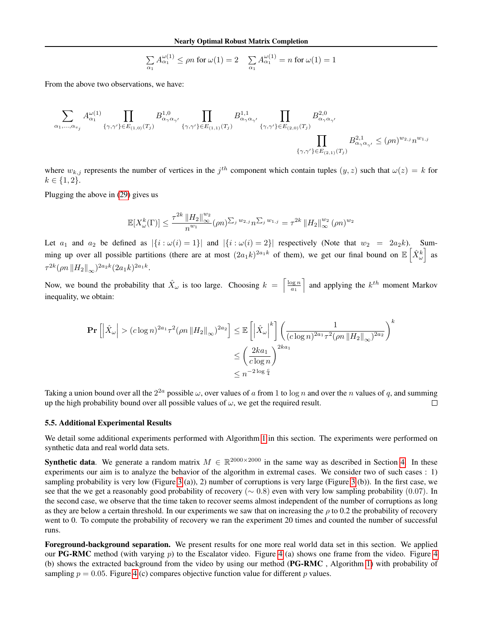$$
\sum_{\alpha_1} A_{\alpha_1}^{\omega(1)} \le \rho n \text{ for } \omega(1) = 2 \quad \sum_{\alpha_1} A_{\alpha_1}^{\omega(1)} = n \text{ for } \omega(1) = 1
$$

From the above two observations, we have:

$$
\sum_{\alpha_1,\ldots,\alpha_{v_j}} A_{\alpha_1}^{\omega(1)} \prod_{\{\gamma,\gamma'\} \in E_{(1,0)}(T_j)} B_{\alpha_\gamma \alpha_{\gamma'}}^{1,0} \prod_{\{\gamma,\gamma'\} \in E_{(1,1)}(T_j)} B_{\alpha_\gamma \alpha_{\gamma'}}^{1,1} \prod_{\{\gamma,\gamma'\} \in E_{(2,0)}(T_j)} B_{\alpha_\gamma \alpha_{\gamma'}}^{2,0}
$$
\n
$$
\prod_{\{\gamma,\gamma'\} \in E_{(2,1)}(T_j)} B_{\alpha_\gamma \alpha_{\gamma'}}^{2,0} \le (\rho n)^{w_{2,j}} n^{w_{1,j}}
$$

where  $w_{k,j}$  represents the number of vertices in the  $j^{th}$  component which contain tuples  $(y, z)$  such that  $\omega(z) = k$  for  $k \in \{1, 2\}.$ 

Plugging the above in [\(29\)](#page-24-0) gives us

$$
\mathbb{E}[X_{\omega}^{k}(\Gamma)] \leq \frac{\tau^{2k} \|H_2\|_{\infty}^{w_2}}{n^{w_1}} (\rho n)^{\sum_j w_{2,j}} n^{\sum_j w_{1,j}} = \tau^{2k} \|H_2\|_{\infty}^{w_2} (\rho n)^{w_2}
$$

Let  $a_1$  and  $a_2$  be defined as  $|\{i : \omega(i) = 1\}|$  and  $|\{i : \omega(i) = 2\}|$  respectively (Note that  $w_2 = 2a_2k$ ). Summing up over all possible partitions (there are at most  $(2a_1k)^{2a_1k}$  of them), we get our final bound on  $\mathbb{E} \left[ \hat{X}_{\omega}^k \right]$  as  $\tau^{2k} (\rho n \, \|H_2\|_{\infty})^{2a_2k} (2a_1k)^{2a_1k}.$ 

Now, we bound the probability that  $\hat{X}_{\omega}$  is too large. Choosing  $k = \left\lceil \frac{\log n}{a_1} \right\rceil$  and applying the  $k^{th}$  moment Markov inequality, we obtain:

$$
\begin{aligned} \Pr\left[\left|\hat{X}_{\omega}\right| > (c\log n)^{2a_1} \tau^2 (\rho n \left\|H_2\right\|_{\infty})^{2a_2}\right] &\leq \mathbb{E}\left[\left|\hat{X}_{\omega}\right|^k\right] \left(\frac{1}{(c\log n)^{2a_1} \tau^2 (\rho n \left\|H_2\right\|_{\infty})^{2a_2}}\right)^k \\ &\leq \left(\frac{2ka_1}{c\log n}\right)^{2ka_1} \\ &\leq n^{-2\log\frac{c}{4}} \end{aligned}
$$

Taking a union bound over all the  $2^{2a}$  possible  $\omega$ , over values of a from 1 to  $\log n$  and over the n values of q, and summing up the high probability bound over all possible values of  $\omega$ , we get the required result.  $\Box$ 

#### <span id="page-25-0"></span>5.5. Additional Experimental Results

We detail some additional experiments performed with Algorithm [1](#page-3-2) in this section. The experiments were performed on synthetic data and real world data sets.

**Synthetic data**. We generate a random matrix  $M \in \mathbb{R}^{2000 \times 2000}$  in the same way as described in Section [4.](#page-5-1) In these experiments our aim is to analyze the behavior of the algorithm in extremal cases. We consider two of such cases : 1) sampling probability is very low (Figure [3](#page-26-0) (a)), 2) number of corruptions is very large (Figure 3 (b)). In the first case, we see that the we get a reasonably good probability of recovery ( $\sim 0.8$ ) even with very low sampling probability (0.07). In the second case, we observe that the time taken to recover seems almost independent of the number of corruptions as long as they are below a certain threshold. In our experiments we saw that on increasing the  $\rho$  to 0.2 the probability of recovery went to 0. To compute the probability of recovery we ran the experiment 20 times and counted the number of successful runs.

Foreground-background separation. We present results for one more real world data set in this section. We applied our PG-RMC method (with varying  $p$ ) to the Escalator video. Figure [4](#page-26-1) (a) shows one frame from the video. Figure 4 (b) shows the extracted background from the video by using our method (PG-RMC , Algorithm [1\)](#page-3-2) with probability of sampling  $p = 0.05$ . Figure [4](#page-26-1) (c) compares objective function value for different p values.